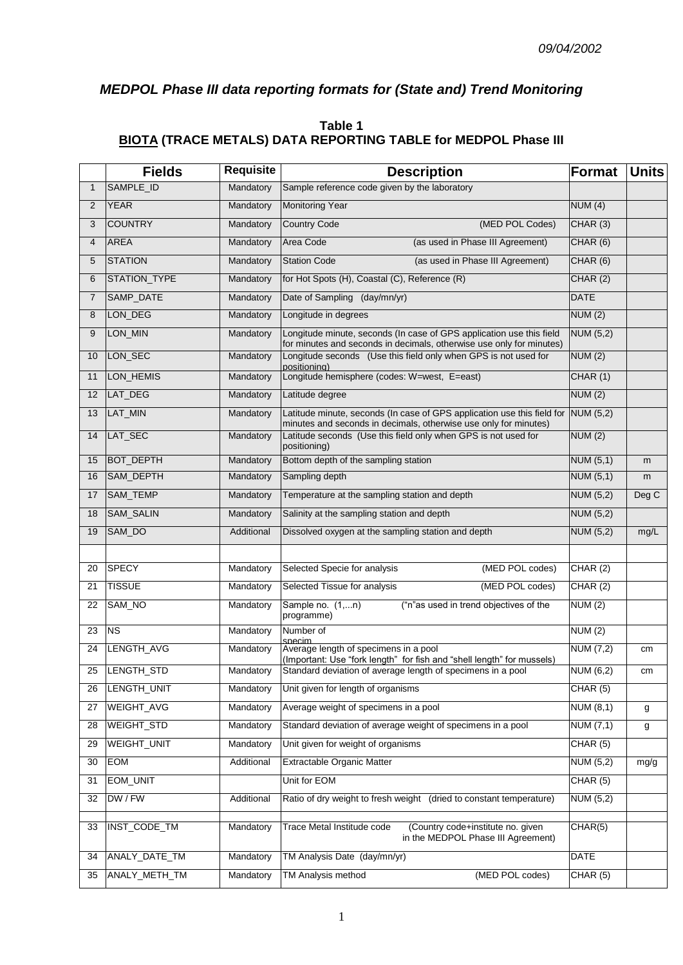# *MEDPOL Phase III data reporting formats for (State and) Trend Monitoring*

## **Table 1 BIOTA (TRACE METALS) DATA REPORTING TABLE for MEDPOL Phase III**

|                | <b>Fields</b>    | <b>Requisite</b> | <b>Description</b>                                                                                                                                    | Format           | <b>Units</b> |
|----------------|------------------|------------------|-------------------------------------------------------------------------------------------------------------------------------------------------------|------------------|--------------|
| $\mathbf{1}$   | SAMPLE_ID        | Mandatory        | Sample reference code given by the laboratory                                                                                                         |                  |              |
| $\overline{2}$ | <b>YEAR</b>      | Mandatory        | <b>Monitoring Year</b>                                                                                                                                | NUM(4)           |              |
| 3              | <b>COUNTRY</b>   | Mandatory        | <b>Country Code</b><br>(MED POL Codes)                                                                                                                | CHAR(3)          |              |
| 4              | <b>AREA</b>      | Mandatory        | Area Code<br>(as used in Phase III Agreement)                                                                                                         | CHAR (6)         |              |
| 5              | <b>STATION</b>   | Mandatory        | <b>Station Code</b><br>(as used in Phase III Agreement)                                                                                               | CHAR(6)          |              |
| 6              | STATION_TYPE     | Mandatory        | for Hot Spots (H), Coastal (C), Reference (R)                                                                                                         | CHAR(2)          |              |
| $\overline{7}$ | SAMP_DATE        | Mandatory        | Date of Sampling (day/mn/yr)                                                                                                                          | <b>DATE</b>      |              |
| 8              | LON_DEG          | Mandatory        | Longitude in degrees                                                                                                                                  | NUM(2)           |              |
| 9              | LON_MIN          | Mandatory        | Longitude minute, seconds (In case of GPS application use this field<br>for minutes and seconds in decimals, otherwise use only for minutes)          | <b>NUM (5,2)</b> |              |
| 10             | LON_SEC          | Mandatory        | Longitude seconds (Use this field only when GPS is not used for<br>positioning)                                                                       | NUM(2)           |              |
| 11             | LON_HEMIS        | Mandatory        | Longitude hemisphere (codes: W=west, E=east)                                                                                                          | CHAR (1)         |              |
| 12             | LAT_DEG          | Mandatory        | Latitude degree                                                                                                                                       | NUM(2)           |              |
| 13             | LAT_MIN          | Mandatory        | Latitude minute, seconds (In case of GPS application use this field for NUM (5,2)<br>minutes and seconds in decimals, otherwise use only for minutes) |                  |              |
| 14             | LAT_SEC          | Mandatory        | Latitude seconds (Use this field only when GPS is not used for<br>positioning)                                                                        | NUM(2)           |              |
| 15             | <b>BOT_DEPTH</b> | Mandatory        | Bottom depth of the sampling station                                                                                                                  | NUM (5,1)        | m            |
| 16             | SAM_DEPTH        | Mandatory        | Sampling depth                                                                                                                                        | NUM (5,1)        | m            |
| 17             | SAM_TEMP         | Mandatory        | Temperature at the sampling station and depth                                                                                                         | NUM(5,2)         | Deg C        |
| 18             | SAM_SALIN        | Mandatory        | Salinity at the sampling station and depth                                                                                                            | <b>NUM (5,2)</b> |              |
| 19             | SAM_DO           | Additional       | Dissolved oxygen at the sampling station and depth                                                                                                    | NUM(5,2)         | mg/L         |
|                |                  |                  |                                                                                                                                                       |                  |              |
| 20             | <b>SPECY</b>     | Mandatory        | Selected Specie for analysis<br>(MED POL codes)                                                                                                       | CHAR(2)          |              |
| 21             | <b>TISSUE</b>    | Mandatory        | Selected Tissue for analysis<br>(MED POL codes)                                                                                                       | CHAR(2)          |              |
| 22             | SAM_NO           | Mandatory        | ("n"as used in trend objectives of the<br>Sample no. (1,n)<br>programme)                                                                              | NUM(2)           |              |
| 23             | <b>NS</b>        | Mandatory        | Number of                                                                                                                                             | NUM (2)          |              |
| 24             | LENGTH_AVG       | Mandatory        | snecim<br>Average length of specimens in a pool<br>(Important: Use "fork length" for fish and "shell length" for mussels)                             | NUM $(7,2)$      | cm           |
| 25             | LENGTH_STD       | Mandatory        | Standard deviation of average length of specimens in a pool                                                                                           | NUM (6,2)        | cm           |
| 26             | LENGTH_UNIT      | Mandatory        | Unit given for length of organisms                                                                                                                    | CHAR(5)          |              |
| 27             | WEIGHT_AVG       | Mandatory        | Average weight of specimens in a pool                                                                                                                 | <b>NUM (8,1)</b> | g            |
| 28             | WEIGHT_STD       | Mandatory        | Standard deviation of average weight of specimens in a pool                                                                                           | NUM (7,1)        | g            |
| 29             | WEIGHT_UNIT      | Mandatory        | Unit given for weight of organisms                                                                                                                    | CHAR(5)          |              |
| 30             | EOM              | Additional       | Extractable Organic Matter                                                                                                                            | <b>NUM (5,2)</b> | mg/g         |
| 31             | EOM_UNIT         |                  | Unit for EOM                                                                                                                                          | CHAR(5)          |              |
| 32             | DW / FW          | Additional       | Ratio of dry weight to fresh weight (dried to constant temperature)                                                                                   | NUM (5,2)        |              |
| 33             | INST_CODE_TM     | Mandatory        | (Country code+institute no. given<br>Trace Metal Institude code<br>in the MEDPOL Phase III Agreement)                                                 | CHAR(5)          |              |
| 34             | ANALY_DATE_TM    | Mandatory        | TM Analysis Date (day/mn/yr)                                                                                                                          | <b>DATE</b>      |              |
| 35             | ANALY_METH_TM    | Mandatory        | TM Analysis method<br>(MED POL codes)                                                                                                                 | CHAR (5)         |              |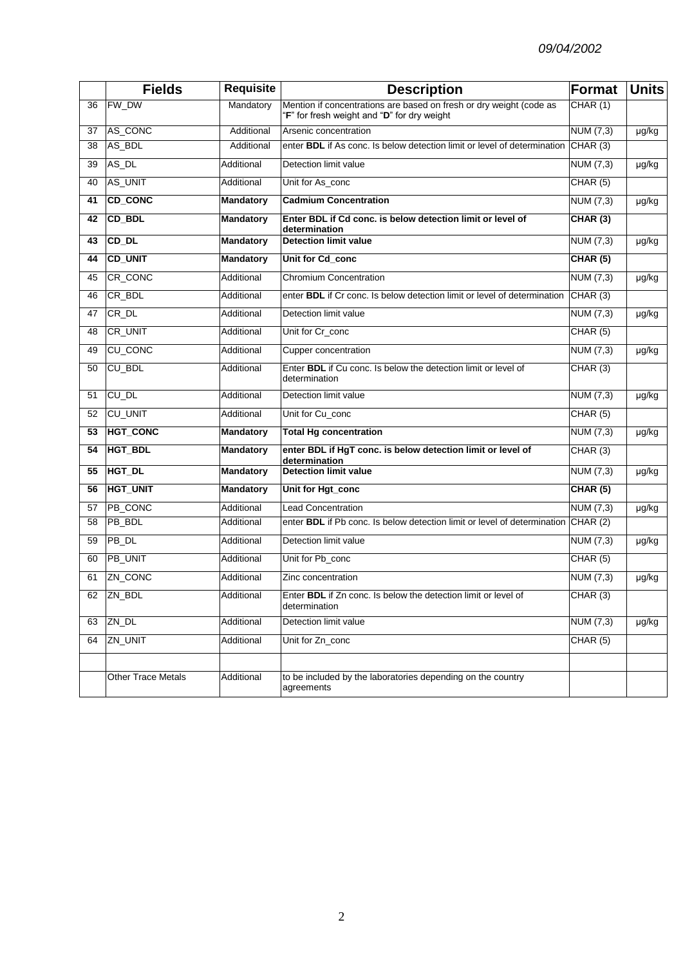|    | <b>Fields</b>             | <b>Requisite</b> | <b>Description</b>                                                                                                 | Format                        | <b>Units</b> |
|----|---------------------------|------------------|--------------------------------------------------------------------------------------------------------------------|-------------------------------|--------------|
| 36 | FW_DW                     | Mandatory        | Mention if concentrations are based on fresh or dry weight (code as<br>"F" for fresh weight and "D" for dry weight | CHAR(1)                       |              |
| 37 | AS_CONC                   | Additional       | Arsenic concentration                                                                                              | NUM (7,3)                     | µg/kg        |
| 38 | AS_BDL                    | Additional       | enter <b>BDL</b> if As conc. Is below detection limit or level of determination                                    | CHAR(3)                       |              |
| 39 | AS_DL                     | Additional       | Detection limit value                                                                                              | NUM (7,3)                     | µg/kg        |
| 40 | AS_UNIT                   | Additional       | Unit for As_conc                                                                                                   | CHAR(5)                       |              |
| 41 | <b>CD_CONC</b>            | <b>Mandatory</b> | <b>Cadmium Concentration</b>                                                                                       | NUM $(7,3)$                   | µg/kg        |
| 42 | CD_BDL                    | <b>Mandatory</b> | Enter BDL if Cd conc. is below detection limit or level of<br>determination                                        | CHAR(3)                       |              |
| 43 | $CD$ <sub>DL</sub>        | <b>Mandatory</b> | <b>Detection limit value</b>                                                                                       | <b>NUM (7,3)</b>              | µg/kg        |
| 44 | <b>CD_UNIT</b>            | <b>Mandatory</b> | Unit for Cd_conc                                                                                                   | CHAR(5)                       |              |
| 45 | CR_CONC                   | Additional       | <b>Chromium Concentration</b>                                                                                      | NUM $(7,3)$                   | µg/kg        |
| 46 | CR_BDL                    | Additional       | enter <b>BDL</b> if Cr conc. Is below detection limit or level of determination                                    | CHAR(3)                       |              |
| 47 | CR_DL                     | Additional       | Detection limit value                                                                                              | NUM (7,3)                     | µg/kg        |
| 48 | CR_UNIT                   | Additional       | Unit for Cr_conc                                                                                                   | CHAR(5)                       |              |
| 49 | <b>CU_CONC</b>            | Additional       | Cupper concentration                                                                                               | NUM (7,3)                     | µg/kg        |
| 50 | CU_BDL                    | Additional       | Enter BDL if Cu conc. Is below the detection limit or level of<br>determination                                    | CHAR (3)                      |              |
| 51 | CU_DL                     | Additional       | Detection limit value                                                                                              | NUM (7,3)                     | µg/kg        |
| 52 | <b>CU_UNIT</b>            | Additional       | Unit for Cu_conc                                                                                                   | CHAR (5)                      |              |
| 53 | <b>HGT_CONC</b>           | <b>Mandatory</b> | <b>Total Hg concentration</b>                                                                                      | NUM (7,3)                     | µg/kg        |
| 54 | <b>HGT_BDL</b>            | <b>Mandatory</b> | enter BDL if HgT conc. is below detection limit or level of<br>determination                                       | CHAR (3)                      |              |
| 55 | HGT_DL                    | <b>Mandatory</b> | <b>Detection limit value</b>                                                                                       | NUM $(7,3)$                   | µg/kg        |
| 56 | <b>HGT_UNIT</b>           | <b>Mandatory</b> | Unit for Hgt_conc                                                                                                  | CHAR(5)                       |              |
| 57 | PB_CONC                   | Additional       | Lead Concentration                                                                                                 | $\overline{\text{NUM}}$ (7,3) | µg/kg        |
| 58 | PB_BDL                    | Additional       | enter BDL if Pb conc. Is below detection limit or level of determination                                           | CHAR (2)                      |              |
| 59 | PB_DL                     | Additional       | Detection limit value                                                                                              | $\overline{\text{NUM}}$ (7,3) | µg/kg        |
| 60 | PB_UNIT                   | Additional       | Unit for Pb_conc                                                                                                   | CHAR(5)                       |              |
| 61 | ZN_CONC                   | Additional       | Zinc concentration                                                                                                 | NUM (7,3)                     | µg/kg        |
|    | 62 ZN_BDL                 | Additional       | Enter BDL if Zn conc. Is below the detection limit or level of<br>determination                                    | CHAR (3)                      |              |
| 63 | ZN_DL                     | Additional       | Detection limit value                                                                                              | NUM $(7,3)$                   | µg/kg        |
| 64 | ZN_UNIT                   | Additional       | Unit for Zn_conc                                                                                                   | CHAR(5)                       |              |
|    |                           |                  |                                                                                                                    |                               |              |
|    | <b>Other Trace Metals</b> | Additional       | to be included by the laboratories depending on the country<br>agreements                                          |                               |              |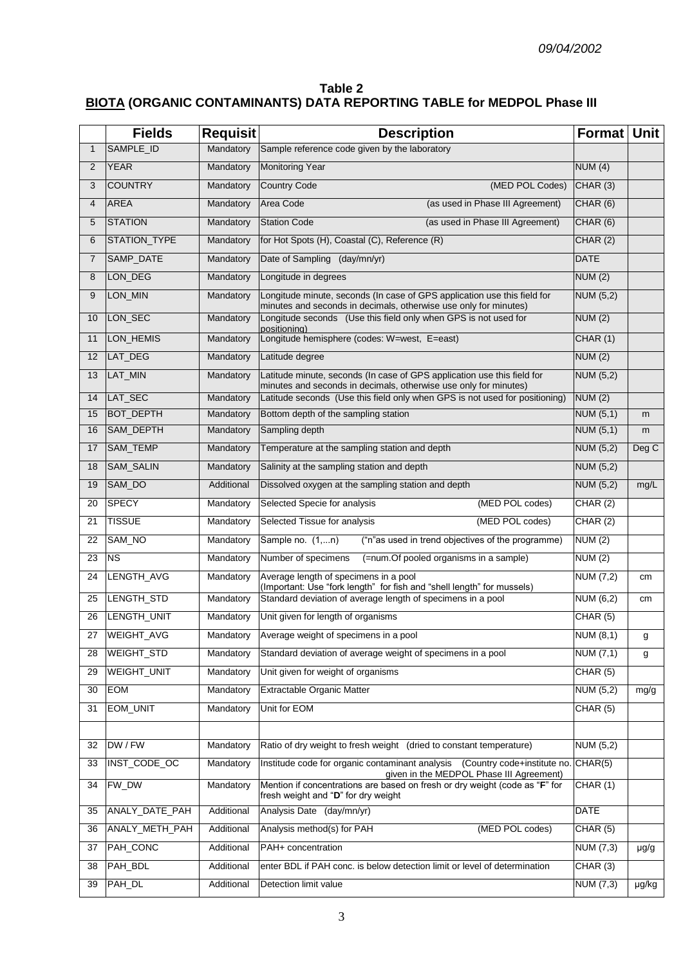## **Table 2 BIOTA (ORGANIC CONTAMINANTS) DATA REPORTING TABLE for MEDPOL Phase III**

|                | <b>Fields</b>    | <b>Requisit</b> | <b>Description</b>                                                                                                                           | Format Unit      |           |
|----------------|------------------|-----------------|----------------------------------------------------------------------------------------------------------------------------------------------|------------------|-----------|
| $\mathbf{1}$   | SAMPLE_ID        | Mandatory       | Sample reference code given by the laboratory                                                                                                |                  |           |
| $\overline{2}$ | <b>YEAR</b>      | Mandatory       | <b>Monitoring Year</b>                                                                                                                       | NUM(4)           |           |
| 3              | <b>COUNTRY</b>   | Mandatory       | <b>Country Code</b><br>(MED POL Codes)                                                                                                       | CHAR (3)         |           |
| 4              | <b>AREA</b>      | Mandatory       | Area Code<br>(as used in Phase III Agreement)                                                                                                | CHAR(6)          |           |
| 5              | <b>STATION</b>   | Mandatory       | <b>Station Code</b><br>(as used in Phase III Agreement)                                                                                      | CHAR(6)          |           |
| 6              | STATION_TYPE     | Mandatory       | for Hot Spots (H), Coastal (C), Reference (R)                                                                                                | CHAR(2)          |           |
| $\overline{7}$ | SAMP_DATE        | Mandatory       | Date of Sampling (day/mn/yr)                                                                                                                 | <b>DATE</b>      |           |
| 8              | LON_DEG          | Mandatory       | Longitude in degrees                                                                                                                         | NUM(2)           |           |
| 9              | LON_MIN          | Mandatory       | Longitude minute, seconds (In case of GPS application use this field for<br>minutes and seconds in decimals, otherwise use only for minutes) | NUM (5,2)        |           |
| 10             | LON_SEC          | Mandatory       | Longitude seconds (Use this field only when GPS is not used for<br>positionina)                                                              | NUM (2)          |           |
| 11             | LON_HEMIS        | Mandatory       | Longitude hemisphere (codes: W=west, E=east)                                                                                                 | CHAR(1)          |           |
| 12             | LAT_DEG          | Mandatory       | Latitude degree                                                                                                                              | NUM(2)           |           |
| 13             | LAT_MIN          | Mandatory       | Latitude minute, seconds (In case of GPS application use this field for<br>minutes and seconds in decimals, otherwise use only for minutes)  | NUM (5,2)        |           |
| 14             | LAT_SEC          | Mandatory       | Latitude seconds (Use this field only when GPS is not used for positioning)                                                                  | NUM(2)           |           |
| 15             | <b>BOT_DEPTH</b> | Mandatory       | Bottom depth of the sampling station                                                                                                         | NUM(5,1)         | m         |
| 16             | SAM_DEPTH        | Mandatory       | Sampling depth                                                                                                                               | <b>NUM (5,1)</b> | m         |
| 17             | SAM_TEMP         | Mandatory       | Temperature at the sampling station and depth                                                                                                | <b>NUM (5,2)</b> | Deg C     |
| 18             | SAM_SALIN        | Mandatory       | Salinity at the sampling station and depth                                                                                                   | <b>NUM (5,2)</b> |           |
| 19             | SAM_DO           | Additional      | Dissolved oxygen at the sampling station and depth                                                                                           | NUM (5,2)        | mg/L      |
| 20             | <b>SPECY</b>     | Mandatory       | (MED POL codes)<br>Selected Specie for analysis                                                                                              | CHAR(2)          |           |
| 21             | <b>TISSUE</b>    | Mandatory       | (MED POL codes)<br>Selected Tissue for analysis                                                                                              | CHAR(2)          |           |
| 22             | SAM_NO           | Mandatory       | Sample no. (1,n)<br>("n"as used in trend objectives of the programme)                                                                        | NUM (2)          |           |
| 23             | <b>NS</b>        | Mandatory       | Number of specimens<br>(=num.Of pooled organisms in a sample)                                                                                | NUM(2)           |           |
| 24             | LENGTH_AVG       | Mandatory       | Average length of specimens in a pool<br>(Important: Use "fork length" for fish and "shell length" for mussels)                              | NUM (7,2)        | cm        |
| 25             | LENGTH_STD       | Mandatory       | Standard deviation of average length of specimens in a pool                                                                                  | <b>NUM (6,2)</b> | cm        |
| 26             | LENGTH_UNIT      | Mandatory       | Unit given for length of organisms                                                                                                           | CHAR (5)         |           |
| 27             | WEIGHT_AVG       |                 | Mandatory Average weight of specimens in a pool                                                                                              | <b>NUM (8,1)</b> | g         |
| 28             | WEIGHT_STD       | Mandatory       | Standard deviation of average weight of specimens in a pool                                                                                  | NUM (7,1)        | g         |
| 29             | WEIGHT_UNIT      | Mandatory       | Unit given for weight of organisms                                                                                                           | CHAR(5)          |           |
| 30             | <b>EOM</b>       | Mandatory       | <b>Extractable Organic Matter</b>                                                                                                            | <b>NUM (5,2)</b> | mg/g      |
| 31             | EOM_UNIT         | Mandatory       | Unit for EOM                                                                                                                                 | CHAR (5)         |           |
|                |                  |                 |                                                                                                                                              |                  |           |
| 32             | DW / FW          | Mandatory       | Ratio of dry weight to fresh weight (dried to constant temperature)                                                                          | NUM (5,2)        |           |
| 33             | INST_CODE_OC     | Mandatory       | Institude code for organic contaminant analysis<br>(Country code+institute no.<br>given in the MEDPOL Phase III Agreement)                   | CHAR(5)          |           |
| 34             | FW_DW            | Mandatory       | Mention if concentrations are based on fresh or dry weight (code as "F" for<br>fresh weight and "D" for dry weight                           | CHAR(1)          |           |
| 35             | ANALY_DATE_PAH   | Additional      | Analysis Date (day/mn/yr)                                                                                                                    | <b>DATE</b>      |           |
| 36             | ANALY_METH_PAH   | Additional      | Analysis method(s) for PAH<br>(MED POL codes)                                                                                                | CHAR (5)         |           |
| 37             | PAH_CONC         | Additional      | PAH+ concentration                                                                                                                           | <b>NUM (7,3)</b> | $\mu$ g/g |
| 38             | PAH_BDL          | Additional      | enter BDL if PAH conc. is below detection limit or level of determination                                                                    | CHAR(3)          |           |
| 39             | PAH_DL           | Additional      | Detection limit value                                                                                                                        | NUM (7,3)        | µg/kg     |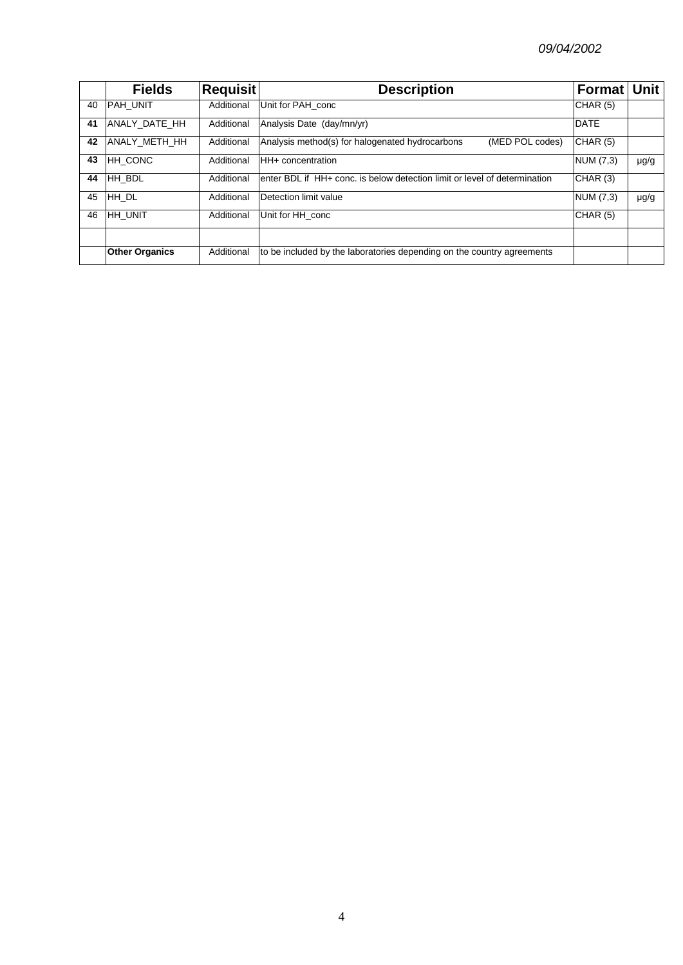|    | <b>Fields</b>         | <b>Requisit</b> | <b>Description</b>                                                         | Format Unit |           |
|----|-----------------------|-----------------|----------------------------------------------------------------------------|-------------|-----------|
| 40 | <b>PAH UNIT</b>       | Additional      | Unit for PAH conc                                                          | CHAR(5)     |           |
| 41 | ANALY DATE HH         | Additional      | Analysis Date (day/mn/yr)                                                  | <b>DATE</b> |           |
| 42 | ANALY METH HH         | Additional      | Analysis method(s) for halogenated hydrocarbons<br>(MED POL codes)         | CHAR(5)     |           |
| 43 | <b>HH CONC</b>        | Additional      | <b>HH</b> + concentration                                                  | NUM (7,3)   | $\mu$ g/g |
| 44 | HH BDL                | Additional      | lenter BDL if HH+ conc. is below detection limit or level of determination | CHAR (3)    |           |
| 45 | HH DL                 | Additional      | Detection limit value                                                      | NUM (7,3)   | $\mu$ g/g |
| 46 | <b>HH UNIT</b>        | Additional      | Unit for HH conc                                                           | CHAR(5)     |           |
|    |                       |                 |                                                                            |             |           |
|    | <b>Other Organics</b> | Additional      | to be included by the laboratories depending on the country agreements     |             |           |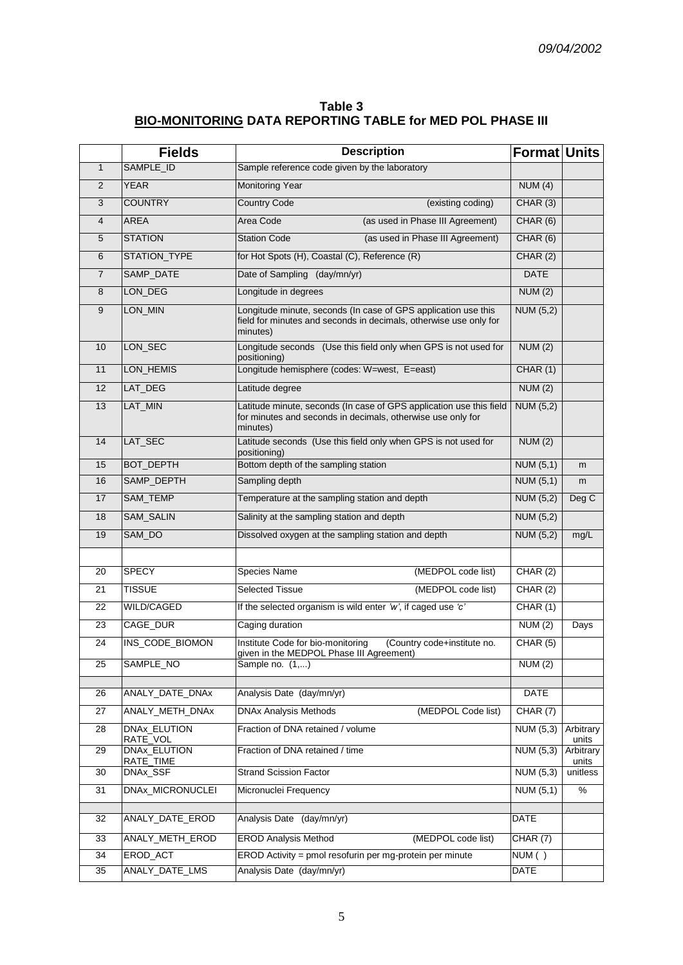| Table 3                                                   |  |
|-----------------------------------------------------------|--|
| BIO-MONITORING DATA REPORTING TABLE for MED POL PHASE III |  |

|                | <b>Fields</b>                    | <b>Description</b>                                                                                                                              | <b>Format Units</b>           |                    |
|----------------|----------------------------------|-------------------------------------------------------------------------------------------------------------------------------------------------|-------------------------------|--------------------|
| $\mathbf{1}$   | SAMPLE_ID                        | Sample reference code given by the laboratory                                                                                                   |                               |                    |
| $\overline{2}$ | <b>YEAR</b>                      | <b>Monitoring Year</b>                                                                                                                          | NUM(4)                        |                    |
| 3              | <b>COUNTRY</b>                   | <b>Country Code</b><br>(existing coding)                                                                                                        | CHAR (3)                      |                    |
| $\overline{4}$ | <b>AREA</b>                      | Area Code<br>(as used in Phase III Agreement)                                                                                                   | CHAR (6)                      |                    |
| 5              | <b>STATION</b>                   | <b>Station Code</b><br>(as used in Phase III Agreement)                                                                                         | CHAR (6)                      |                    |
| 6              | STATION_TYPE                     | for Hot Spots (H), Coastal (C), Reference (R)                                                                                                   | CHAR(2)                       |                    |
| $\overline{7}$ | SAMP_DATE                        | Date of Sampling (day/mn/yr)                                                                                                                    | <b>DATE</b>                   |                    |
| 8              | LON_DEG                          | Longitude in degrees                                                                                                                            | NUM(2)                        |                    |
| 9              | LON_MIN                          | Longitude minute, seconds (In case of GPS application use this<br>field for minutes and seconds in decimals, otherwise use only for<br>minutes) | <b>NUM (5,2)</b>              |                    |
| 10             | LON_SEC                          | Longitude seconds (Use this field only when GPS is not used for<br>positioning)                                                                 | NUM(2)                        |                    |
| 11             | LON_HEMIS                        | Longitude hemisphere (codes: W=west, E=east)                                                                                                    | CHAR (1)                      |                    |
| 12             | LAT_DEG                          | Latitude degree                                                                                                                                 | NUM(2)                        |                    |
| 13             | LAT_MIN                          | Latitude minute, seconds (In case of GPS application use this field<br>for minutes and seconds in decimals, otherwise use only for<br>minutes)  | NUM (5,2)                     |                    |
| 14             | LAT_SEC                          | Latitude seconds (Use this field only when GPS is not used for<br>positioning)                                                                  | <b>NUM (2)</b>                |                    |
| 15             | <b>BOT_DEPTH</b>                 | Bottom depth of the sampling station                                                                                                            | NUM(5,1)                      | m                  |
| 16             | SAMP_DEPTH                       | Sampling depth                                                                                                                                  | NUM (5,1)                     | m                  |
| 17             | SAM_TEMP                         | Temperature at the sampling station and depth                                                                                                   | <b>NUM (5,2)</b>              | Deg C              |
| 18             | SAM_SALIN                        | Salinity at the sampling station and depth                                                                                                      | NUM (5,2)                     |                    |
| 19             | SAM_DO                           | Dissolved oxygen at the sampling station and depth                                                                                              | <b>NUM (5,2)</b>              | mg/L               |
|                |                                  |                                                                                                                                                 |                               |                    |
| 20             | <b>SPECY</b>                     | (MEDPOL code list)<br>Species Name                                                                                                              | CHAR (2)                      |                    |
| 21             | <b>TISSUE</b>                    | <b>Selected Tissue</b><br>(MEDPOL code list)                                                                                                    | CHAR(2)                       |                    |
| 22             | WILD/CAGED                       | If the selected organism is wild enter 'w', if caged use 'c'                                                                                    | CHAR (1)                      |                    |
| 23             | CAGE_DUR                         | Caging duration                                                                                                                                 | NUM(2)                        | Days               |
| 24             | INS_CODE_BIOMON                  | Institute Code for bio-monitoring<br>(Country code+institute no.<br>aiven in the MEDPOL Phase III Agreement)                                    | CHAR(5)                       |                    |
| 25             | SAMPLE_NO                        | Sample no. (1,)                                                                                                                                 | <b>NUM (2)</b>                |                    |
|                |                                  |                                                                                                                                                 |                               |                    |
| 26             | ANALY_DATE_DNAx                  | Analysis Date (day/mn/yr)                                                                                                                       | <b>DATE</b>                   |                    |
| 27             | ANALY_METH_DNAx                  | <b>DNAx Analysis Methods</b><br>(MEDPOL Code list)                                                                                              | CHAR(7)                       |                    |
| 28             | <b>DNAx ELUTION</b><br>RATE_VOL  | Fraction of DNA retained / volume                                                                                                               | NUM (5,3)                     | Arbitrary<br>units |
| 29             | <b>DNAx_ELUTION</b><br>RATE_TIME | Fraction of DNA retained / time                                                                                                                 | NUM $(5,3)$                   | Arbitrary<br>units |
| 30             | DNAx_SSF                         | <b>Strand Scission Factor</b>                                                                                                                   | $\overline{\text{NUM}}$ (5,3) | unitless           |
| 31             | DNAx_MICRONUCLEI                 | Micronuclei Frequency                                                                                                                           | NUM (5,1)                     | $\%$               |
|                |                                  |                                                                                                                                                 |                               |                    |
| 32             | ANALY_DATE_EROD                  | Analysis Date (day/mn/yr)                                                                                                                       | DATE                          |                    |
| 33             | ANALY_METH_EROD                  | <b>EROD Analysis Method</b><br>(MEDPOL code list)                                                                                               | CHAR(7)                       |                    |
| 34             | EROD_ACT                         | EROD Activity = pmol resofurin per mg-protein per minute                                                                                        | NUM()                         |                    |
| 35             | ANALY_DATE_LMS                   | Analysis Date (day/mn/yr)                                                                                                                       | <b>DATE</b>                   |                    |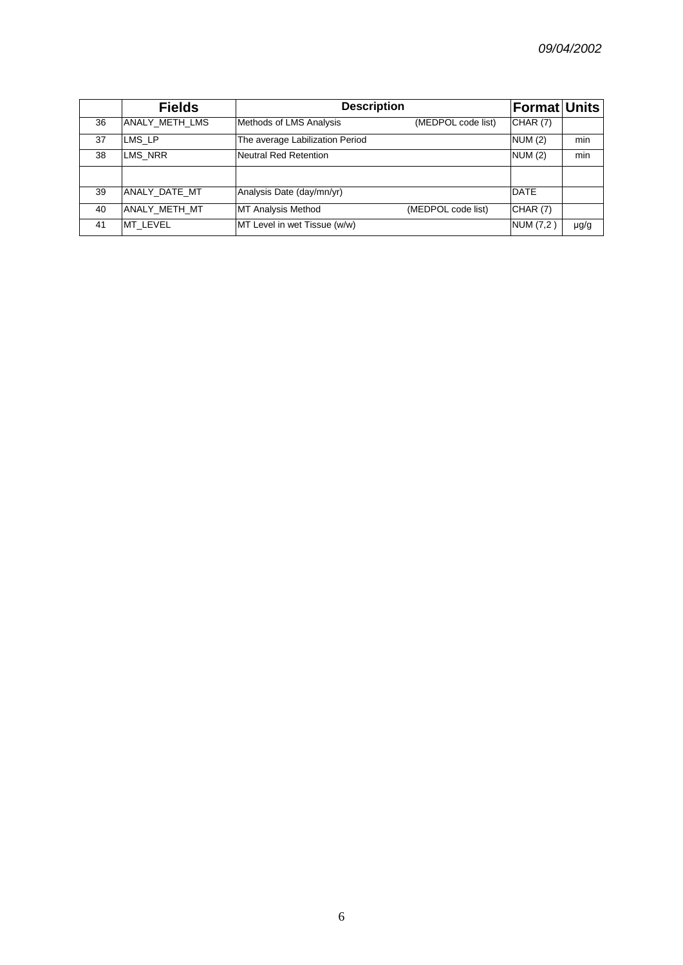|    | <b>Fields</b>  | <b>Description</b>              |                    | <b>Format Units</b> |           |
|----|----------------|---------------------------------|--------------------|---------------------|-----------|
| 36 | ANALY METH LMS | Methods of LMS Analysis         | (MEDPOL code list) | <b>CHAR (7)</b>     |           |
| 37 | LMS LP         | The average Labilization Period |                    | NUM (2)             | min       |
| 38 | LMS NRR        | <b>Neutral Red Retention</b>    |                    | NUM (2)             | min       |
|    |                |                                 |                    |                     |           |
| 39 | ANALY DATE MT  | Analysis Date (day/mn/yr)       |                    | DATE                |           |
| 40 | ANALY METH MT  | <b>MT Analysis Method</b>       | (MEDPOL code list) | CHAR (7)            |           |
| 41 | MT LEVEL       | MT Level in wet Tissue (w/w)    |                    | <b>NUM (7,2)</b>    | $\mu$ g/g |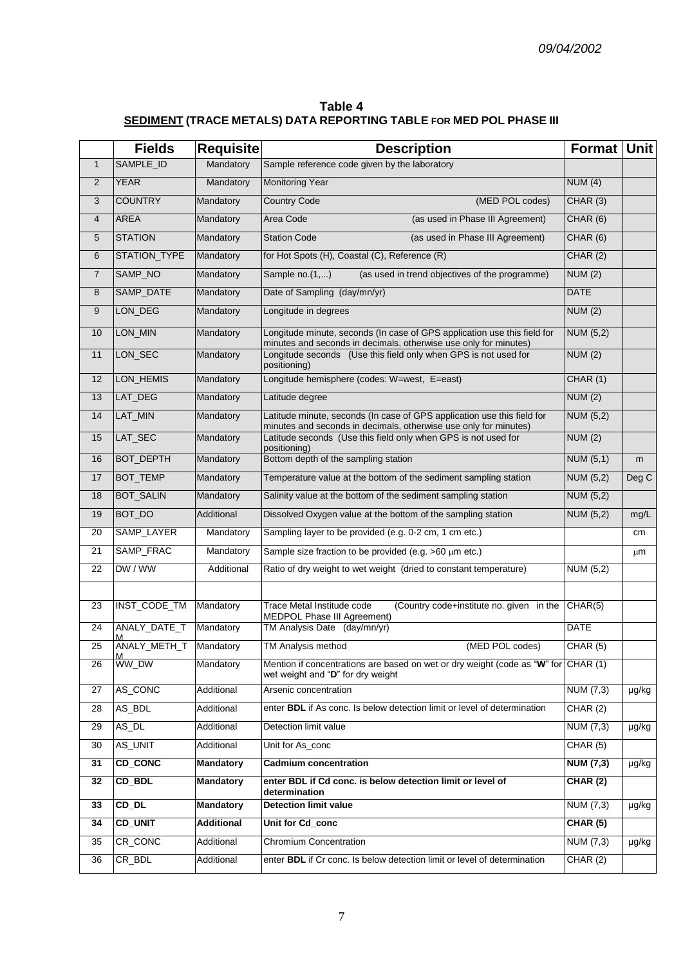**Table 4 SEDIMENT (TRACE METALS) DATA REPORTING TABLE FOR MED POL PHASE III**

|                | <b>Fields</b>      | <b>Requisite</b>  | <b>Description</b>                                                                                                                           | Format Unit      |       |
|----------------|--------------------|-------------------|----------------------------------------------------------------------------------------------------------------------------------------------|------------------|-------|
| $\mathbf{1}$   | SAMPLE_ID          | Mandatory         | Sample reference code given by the laboratory                                                                                                |                  |       |
| $\overline{2}$ | <b>YEAR</b>        | Mandatory         | <b>Monitoring Year</b>                                                                                                                       | NUM(4)           |       |
| 3              | <b>COUNTRY</b>     | Mandatory         | <b>Country Code</b><br>(MED POL codes)                                                                                                       | CHAR(3)          |       |
| $\overline{4}$ | <b>AREA</b>        | Mandatory         | (as used in Phase III Agreement)<br>Area Code                                                                                                | CHAR(6)          |       |
| $\sqrt{5}$     | <b>STATION</b>     | Mandatory         | <b>Station Code</b><br>(as used in Phase III Agreement)                                                                                      | CHAR(6)          |       |
| 6              | STATION_TYPE       | Mandatory         | for Hot Spots (H), Coastal (C), Reference (R)                                                                                                | CHAR(2)          |       |
| $\overline{7}$ | SAMP_NO            | Mandatory         | Sample no.(1,)<br>(as used in trend objectives of the programme)                                                                             | NUM(2)           |       |
| 8              | SAMP_DATE          | Mandatory         | Date of Sampling (day/mn/yr)                                                                                                                 | <b>DATE</b>      |       |
| 9              | LON_DEG            | Mandatory         | Longitude in degrees                                                                                                                         | NUM(2)           |       |
| 10             | LON_MIN            | Mandatory         | Longitude minute, seconds (In case of GPS application use this field for<br>minutes and seconds in decimals, otherwise use only for minutes) | <b>NUM (5,2)</b> |       |
| 11             | LON_SEC            | Mandatory         | Longitude seconds (Use this field only when GPS is not used for<br>positioning)                                                              | NUM(2)           |       |
| 12             | LON_HEMIS          | Mandatory         | Longitude hemisphere (codes: W=west, E=east)                                                                                                 | CHAR (1)         |       |
| 13             | LAT_DEG            | Mandatory         | Latitude degree                                                                                                                              | NUM(2)           |       |
| 14             | LAT_MIN            | Mandatory         | Latitude minute, seconds (In case of GPS application use this field for<br>minutes and seconds in decimals, otherwise use only for minutes)  | <b>NUM (5,2)</b> |       |
| 15             | LAT_SEC            | Mandatory         | Latitude seconds (Use this field only when GPS is not used for<br>positioning)                                                               | NUM(2)           |       |
| 16             | <b>BOT_DEPTH</b>   | Mandatory         | Bottom depth of the sampling station                                                                                                         | <b>NUM (5,1)</b> | m     |
| 17             | <b>BOT_TEMP</b>    | Mandatory         | Temperature value at the bottom of the sediment sampling station                                                                             | NUM (5,2)        | Deg C |
| 18             | <b>BOT_SALIN</b>   | Mandatory         | Salinity value at the bottom of the sediment sampling station                                                                                | <b>NUM (5,2)</b> |       |
| 19             | <b>BOT_DO</b>      | Additional        | Dissolved Oxygen value at the bottom of the sampling station                                                                                 | <b>NUM (5,2)</b> | mg/L  |
| 20             | SAMP_LAYER         | Mandatory         | Sampling layer to be provided (e.g. 0-2 cm, 1 cm etc.)                                                                                       |                  | cm    |
| 21             | SAMP_FRAC          | Mandatory         | Sample size fraction to be provided (e.g. $>60 \mu m$ etc.)                                                                                  |                  | μm    |
| 22             | DW / WW            | Additional        | Ratio of dry weight to wet weight (dried to constant temperature)                                                                            | <b>NUM (5,2)</b> |       |
|                |                    |                   |                                                                                                                                              |                  |       |
| 23             | INST_CODE_TM       | Mandatory         | Trace Metal Institude code<br>(Country code+institute no. given in the<br>MEDPOL Phase III Agreement)                                        | CHAR(5)          |       |
| 24             | ANALY DATE T       | Mandatory         | TM Analysis Date (day/mn/yr)                                                                                                                 | <b>DATE</b>      |       |
| 25             | ANALY_METH_T<br>M  | Mandatory         | (MED POL codes)<br>TM Analysis method                                                                                                        | CHAR (5)         |       |
| 26             | WW_DW              | Mandatory         | Mention if concentrations are based on wet or dry weight (code as "W" for CHAR (1)<br>wet weight and "D" for dry weight                      |                  |       |
| 27             | AS_CONC            | Additional        | Arsenic concentration                                                                                                                        | NUM (7,3)        | µg/kg |
| 28             | AS_BDL             | Additional        | enter <b>BDL</b> if As conc. Is below detection limit or level of determination                                                              | CHAR(2)          |       |
| 29             | AS_DL              | Additional        | Detection limit value                                                                                                                        | NUM (7,3)        | µg/kg |
| 30             | AS_UNIT            | Additional        | Unit for As_conc                                                                                                                             | CHAR (5)         |       |
| 31             | <b>CD_CONC</b>     | <b>Mandatory</b>  | <b>Cadmium concentration</b>                                                                                                                 | <b>NUM (7,3)</b> | µg/kg |
| 32             | CD_BDL             | <b>Mandatory</b>  | enter BDL if Cd conc. is below detection limit or level of<br>determination                                                                  | <b>CHAR (2)</b>  |       |
| 33             | $CD$ <sub>DL</sub> | <b>Mandatory</b>  | <b>Detection limit value</b>                                                                                                                 | NUM (7,3)        | µg/kg |
| 34             | <b>CD_UNIT</b>     | <b>Additional</b> | Unit for Cd_conc                                                                                                                             | CHAR(5)          |       |
| 35             | CR_CONC            | Additional        | Chromium Concentration                                                                                                                       | NUM (7,3)        | µg/kg |
| 36             | CR_BDL             | Additional        | enter <b>BDL</b> if Cr conc. Is below detection limit or level of determination                                                              | CHAR(2)          |       |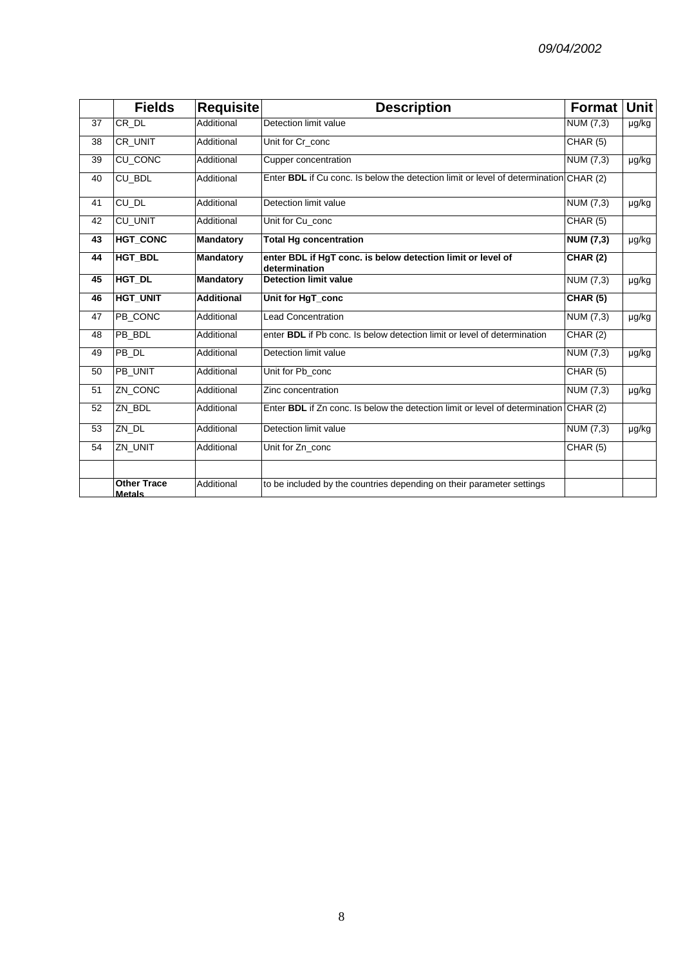|                 | <b>Fields</b>                       | <b>Requisite</b>  | <b>Description</b>                                                                    | <b>Format</b>    | <b>Unit</b> |
|-----------------|-------------------------------------|-------------------|---------------------------------------------------------------------------------------|------------------|-------------|
| 37              | $CR$ <sub>_DL</sub>                 | Additional        | Detection limit value                                                                 | NUM $(7,3)$      | µg/kg       |
| 38              | CR_UNIT                             | Additional        | Unit for Cr conc                                                                      | CHAR (5)         |             |
| 39              | <b>CU_CONC</b>                      | Additional        | <b>Cupper concentration</b>                                                           | NUM (7,3)        | µg/kg       |
| 40              | CU_BDL                              | Additional        | Enter BDL if Cu conc. Is below the detection limit or level of determination CHAR (2) |                  |             |
| 41              | $CU$ <sub>DL</sub>                  | Additional        | Detection limit value                                                                 | <b>NUM (7,3)</b> | µg/kg       |
| $\overline{42}$ | <b>CU_UNIT</b>                      | Additional        | Unit for Cu_conc                                                                      | CHAR(5)          |             |
| 43              | <b>HGT_CONC</b>                     | <b>Mandatory</b>  | <b>Total Hg concentration</b>                                                         | <b>NUM (7,3)</b> | µg/kg       |
| 44              | <b>HGT BDL</b>                      | <b>Mandatory</b>  | enter BDL if HgT conc. is below detection limit or level of<br>determination          | <b>CHAR (2)</b>  |             |
| 45              | HGT_DL                              | <b>Mandatory</b>  | <b>Detection limit value</b>                                                          | NUM (7,3)        | µg/kg       |
| 46              | <b>HGT_UNIT</b>                     | <b>Additional</b> | Unit for HgT_conc                                                                     | <b>CHAR (5)</b>  |             |
| 47              | PB_CONC                             | Additional        | <b>Lead Concentration</b>                                                             | NUM (7,3)        | µg/kg       |
| 48              | PB BDL                              | Additional        | enter <b>BDL</b> if Pb conc. Is below detection limit or level of determination       | CHAR(2)          |             |
| 49              | PB_DL                               | Additional        | Detection limit value                                                                 | NUM (7,3)        | µg/kg       |
| 50              | PB_UNIT                             | Additional        | Unit for Pb_conc                                                                      | CHAR(5)          |             |
| 51              | ZN_CONC                             | Additional        | Zinc concentration                                                                    | NUM (7,3)        | µg/kg       |
| 52              | ZN_BDL                              | Additional        | Enter BDL if Zn conc. Is below the detection limit or level of determination CHAR (2) |                  |             |
| 53              | ZN_DL                               | Additional        | Detection limit value                                                                 | <b>NUM (7,3)</b> | µg/kg       |
| 54              | ZN_UNIT                             | Additional        | Unit for Zn conc                                                                      | CHAR (5)         |             |
|                 | <b>Other Trace</b><br><b>Metals</b> | Additional        | to be included by the countries depending on their parameter settings                 |                  |             |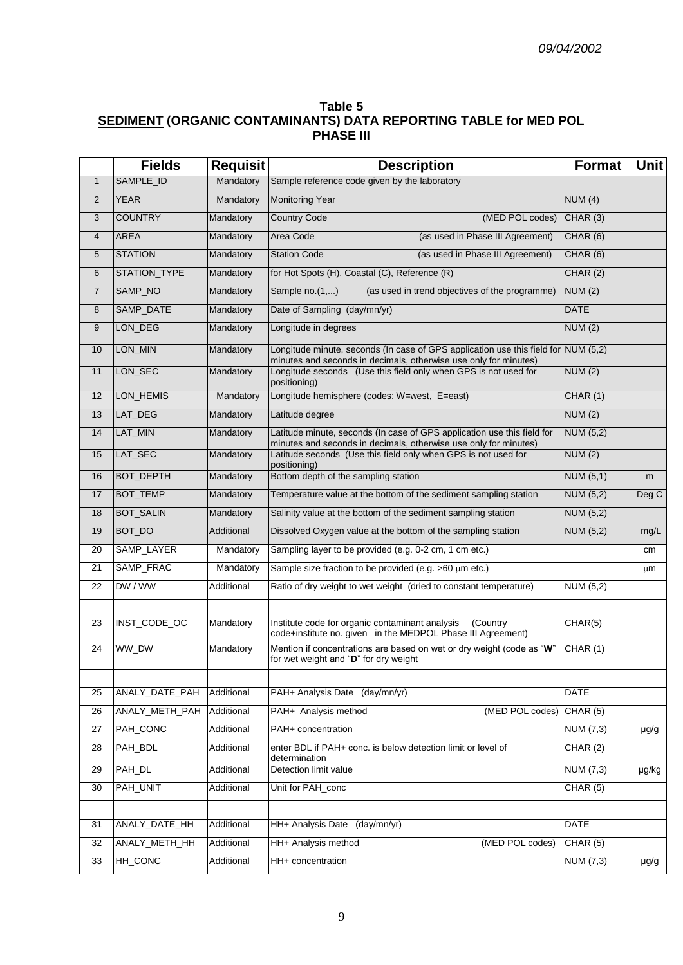## **Table 5 SEDIMENT (ORGANIC CONTAMINANTS) DATA REPORTING TABLE for MED POL PHASE III**

|                         | <b>Fields</b>    | <b>Requisit</b> | <b>Description</b>                                                                                                                                     | <b>Format</b>    | Unit      |
|-------------------------|------------------|-----------------|--------------------------------------------------------------------------------------------------------------------------------------------------------|------------------|-----------|
| $\mathbf{1}$            | SAMPLE_ID        | Mandatory       | Sample reference code given by the laboratory                                                                                                          |                  |           |
| $\overline{2}$          | <b>YEAR</b>      | Mandatory       | Monitoring Year                                                                                                                                        | NUM(4)           |           |
| 3                       | <b>COUNTRY</b>   | Mandatory       | <b>Country Code</b><br>(MED POL codes)                                                                                                                 | CHAR (3)         |           |
| $\overline{\mathbf{4}}$ | <b>AREA</b>      | Mandatory       | Area Code<br>(as used in Phase III Agreement)                                                                                                          | CHAR(6)          |           |
| 5                       | <b>STATION</b>   | Mandatory       | <b>Station Code</b><br>(as used in Phase III Agreement)                                                                                                | CHAR(6)          |           |
| 6                       | STATION_TYPE     | Mandatory       | for Hot Spots (H), Coastal (C), Reference (R)                                                                                                          | CHAR(2)          |           |
| $\overline{7}$          | SAMP_NO          | Mandatory       | Sample no.(1,)<br>(as used in trend objectives of the programme)                                                                                       | NUM(2)           |           |
| 8                       | SAMP_DATE        | Mandatory       | Date of Sampling (day/mn/yr)                                                                                                                           | <b>DATE</b>      |           |
| 9                       | LON_DEG          | Mandatory       | Longitude in degrees                                                                                                                                   | NUM(2)           |           |
| $10$                    | LON_MIN          | Mandatory       | Longitude minute, seconds (In case of GPS application use this field for NUM (5,2)<br>minutes and seconds in decimals, otherwise use only for minutes) |                  |           |
| 11                      | LON_SEC          | Mandatory       | Longitude seconds (Use this field only when GPS is not used for<br>positioning)                                                                        | NUM(2)           |           |
| 12                      | LON_HEMIS        | Mandatory       | Longitude hemisphere (codes: W=west, E=east)                                                                                                           | CHAR(1)          |           |
| 13                      | LAT_DEG          | Mandatory       | Latitude degree                                                                                                                                        | NUM(2)           |           |
| 14                      | LAT_MIN          | Mandatory       | Latitude minute, seconds (In case of GPS application use this field for<br>minutes and seconds in decimals, otherwise use only for minutes)            | <b>NUM (5,2)</b> |           |
| 15                      | LAT_SEC          | Mandatory       | Latitude seconds (Use this field only when GPS is not used for<br>positioning)                                                                         | NUM(2)           |           |
| 16                      | <b>BOT_DEPTH</b> | Mandatory       | Bottom depth of the sampling station                                                                                                                   | <b>NUM (5,1)</b> | m         |
| 17                      | <b>BOT_TEMP</b>  | Mandatory       | Temperature value at the bottom of the sediment sampling station                                                                                       | <b>NUM (5,2)</b> | Deg C     |
| 18                      | <b>BOT_SALIN</b> | Mandatory       | Salinity value at the bottom of the sediment sampling station                                                                                          | <b>NUM (5,2)</b> |           |
| 19                      | BOT_DO           | Additional      | Dissolved Oxygen value at the bottom of the sampling station                                                                                           | <b>NUM (5,2)</b> | mg/L      |
| 20                      | SAMP_LAYER       | Mandatory       | Sampling layer to be provided (e.g. 0-2 cm, 1 cm etc.)                                                                                                 |                  | cm        |
| 21                      | SAMP_FRAC        | Mandatory       | Sample size fraction to be provided (e.g. >60 µm etc.)                                                                                                 |                  | μm        |
| 22                      | DW/WW            | Additional      | Ratio of dry weight to wet weight (dried to constant temperature)                                                                                      | <b>NUM (5,2)</b> |           |
|                         |                  |                 |                                                                                                                                                        |                  |           |
| 23                      | INST_CODE_OC     | Mandatory       | Institute code for organic contaminant analysis<br>(Country<br>code+institute no. given in the MEDPOL Phase III Agreement)                             | CHAR(5)          |           |
| 24                      | WW_DW            | Mandatory       | Mention if concentrations are based on wet or dry weight (code as "W"<br>for wet weight and "D" for dry weight                                         | CHAR (1)         |           |
|                         |                  |                 |                                                                                                                                                        |                  |           |
| 25                      | ANALY_DATE_PAH   | Additional      | PAH+ Analysis Date (day/mn/yr)                                                                                                                         | DATE             |           |
| 26                      | ANALY_METH_PAH   | Additional      | PAH+ Analysis method<br>(MED POL codes)                                                                                                                | CHAR (5)         |           |
| 27                      | PAH_CONC         | Additional      | PAH+ concentration                                                                                                                                     | <b>NUM (7,3)</b> | $\mu$ g/g |
| 28                      | PAH_BDL          | Additional      | enter BDL if PAH+ conc. is below detection limit or level of<br>determination                                                                          | CHAR (2)         |           |
| 29                      | PAH_DL           | Additional      | Detection limit value                                                                                                                                  | <b>NUM (7,3)</b> | µg/kg     |
| 30                      | PAH_UNIT         | Additional      | Unit for PAH_conc                                                                                                                                      | CHAR(5)          |           |
|                         |                  |                 |                                                                                                                                                        |                  |           |
| 31                      | ANALY_DATE_HH    | Additional      | HH+ Analysis Date<br>(day/mn/yr)                                                                                                                       | <b>DATE</b>      |           |
| 32                      | ANALY_METH_HH    | Additional      | HH+ Analysis method<br>(MED POL codes)                                                                                                                 | CHAR (5)         |           |
| 33                      | HH_CONC          | Additional      | HH+ concentration                                                                                                                                      | <b>NUM (7,3)</b> | $\mu$ g/g |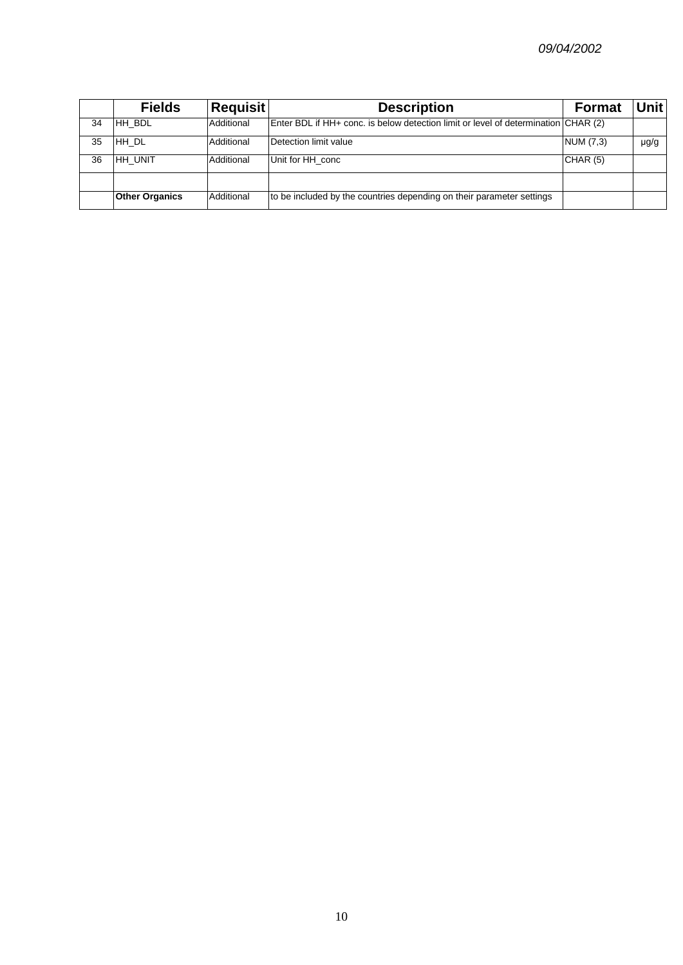|    | <b>Fields</b>         | <b>Requisit</b> | <b>Description</b>                                                                 | <b>Format</b> | Unit |
|----|-----------------------|-----------------|------------------------------------------------------------------------------------|---------------|------|
| 34 | HH BDL                | Additional      | Enter BDL if HH+ conc. is below detection limit or level of determination CHAR (2) |               |      |
| 35 | HH DL                 | Additional      | Detection limit value                                                              | NUM (7,3)     | µg/g |
| 36 | IHH UNIT              | Additional      | Unit for HH conc                                                                   | CHAR(5)       |      |
|    |                       |                 |                                                                                    |               |      |
|    | <b>Other Organics</b> | Additional      | to be included by the countries depending on their parameter settings              |               |      |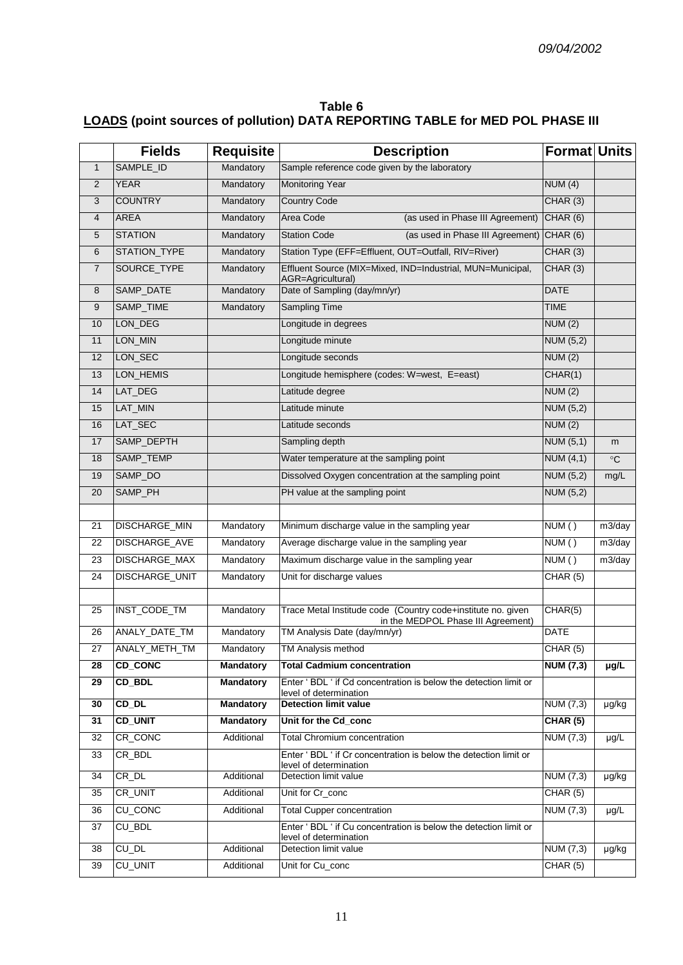#### **Table 6 LOADS (point sources of pollution) DATA REPORTING TABLE for MED POL PHASE III**

| SAMPLE_ID<br>Sample reference code given by the laboratory<br>Mandatory<br>$\mathbf{1}$                                               |                                           |           |
|---------------------------------------------------------------------------------------------------------------------------------------|-------------------------------------------|-----------|
|                                                                                                                                       |                                           |           |
| $\overline{2}$<br><b>YEAR</b><br><b>Monitoring Year</b><br>Mandatory                                                                  | NUM(4)                                    |           |
| <b>COUNTRY</b><br>3<br><b>Country Code</b><br>Mandatory                                                                               | CHAR(3)                                   |           |
| <b>AREA</b><br>Area Code<br>4<br>Mandatory<br>(as used in Phase III Agreement)                                                        | CHAR (6)                                  |           |
| <b>STATION</b><br>5<br>Mandatory<br><b>Station Code</b>                                                                               | (as used in Phase III Agreement) CHAR (6) |           |
| STATION_TYPE<br>Station Type (EFF=Effluent, OUT=Outfall, RIV=River)<br>6<br>Mandatory                                                 | CHAR (3)                                  |           |
| SOURCE_TYPE<br>Effluent Source (MIX=Mixed, IND=Industrial, MUN=Municipal,<br>$\overline{7}$<br>Mandatory<br>AGR=Agricultural)         | CHAR(3)                                   |           |
| SAMP_DATE<br>Date of Sampling (day/mn/yr)<br>8<br>Mandatory                                                                           | <b>DATE</b>                               |           |
| SAMP_TIME<br><b>Sampling Time</b><br>9<br>Mandatory                                                                                   | <b>TIME</b>                               |           |
| LON_DEG<br>10<br>Longitude in degrees                                                                                                 | NUM(2)                                    |           |
| LON_MIN<br>11<br>Longitude minute                                                                                                     | <b>NUM (5,2)</b>                          |           |
| LON_SEC<br>12<br>Longitude seconds                                                                                                    | NUM(2)                                    |           |
| LON_HEMIS<br>Longitude hemisphere (codes: W=west, E=east)<br>13                                                                       | CHAR(1)                                   |           |
| LAT_DEG<br>14<br>Latitude degree                                                                                                      | NUM(2)                                    |           |
| LAT_MIN<br>15<br>Latitude minute                                                                                                      | <b>NUM (5,2)</b>                          |           |
| LAT_SEC<br>Latitude seconds<br>16                                                                                                     | NUM (2)                                   |           |
| SAMP_DEPTH<br>17<br>Sampling depth                                                                                                    | NUM $(5,1)$                               | m         |
| SAMP_TEMP<br>18<br>Water temperature at the sampling point                                                                            | NUM(4,1)                                  | $\circ$ C |
| SAMP_DO<br>Dissolved Oxygen concentration at the sampling point<br>19                                                                 | NUM (5,2)                                 | mg/L      |
| SAMP_PH<br>PH value at the sampling point<br>20                                                                                       | <b>NUM (5,2)</b>                          |           |
|                                                                                                                                       |                                           |           |
| DISCHARGE_MIN<br>Minimum discharge value in the sampling year<br>Mandatory<br>21                                                      | NUM()                                     | m3/day    |
| DISCHARGE_AVE<br>Average discharge value in the sampling year<br>22<br>Mandatory                                                      | NUM()                                     | m3/day    |
| DISCHARGE_MAX<br>23<br>Mandatory<br>Maximum discharge value in the sampling year                                                      | NUM()                                     | m3/day    |
| $\overline{24}$<br>DISCHARGE_UNIT<br>Mandatory<br>Unit for discharge values                                                           | CHAR(5)                                   |           |
|                                                                                                                                       |                                           |           |
| Trace Metal Institude code (Country code+institute no. given<br>INST_CODE_TM<br>Mandatory<br>25<br>in the MEDPOL Phase III Agreement) | CHAR(5)                                   |           |
| ANALY_DATE_TM<br>26<br>Mandatory<br>TM Analysis Date (day/mn/yr)                                                                      | <b>DATE</b>                               |           |
| 27<br>ANALY_METH_TM<br>TM Analysis method<br>Mandatory                                                                                | CHAR (5)                                  |           |
| <b>CD_CONC</b><br>28<br><b>Mandatory</b><br><b>Total Cadmium concentration</b>                                                        | <b>NUM (7,3)</b>                          | µg/L      |
| 29<br>CD BDL<br>Mandatory<br>Enter ' BDL ' if Cd concentration is below the detection limit or<br>level of determination              |                                           |           |
| $CD$ <sub>DL</sub><br><b>Detection limit value</b><br><b>Mandatory</b><br>30                                                          | NUM (7,3)                                 | µg/kg     |
| <b>CD_UNIT</b><br>31<br><b>Mandatory</b><br>Unit for the Cd_conc                                                                      | <b>CHAR (5)</b>                           |           |
| CR_CONC<br>Additional<br>32<br><b>Total Chromium concentration</b>                                                                    | <b>NUM (7,3)</b>                          | $\mu$ g/L |
| CR_BDL<br>Enter 'BDL ' if Cr concentration is below the detection limit or<br>33                                                      |                                           |           |
| level of determination<br>CR_DL<br>Additional<br>Detection limit value<br>34                                                          | <b>NUM (7,3)</b>                          | µg/kg     |
| CR_UNIT<br>35<br>Additional<br>Unit for Cr_conc                                                                                       | CHAR (5)                                  |           |
| <b>CU_CONC</b><br>Additional<br>36<br><b>Total Cupper concentration</b>                                                               | NUM (7,3)                                 | µg/L      |
| CU_BDL<br>Enter ' BDL ' if Cu concentration is below the detection limit or<br>37<br>level of determination                           |                                           |           |
| CU_DL<br>Additional<br>Detection limit value<br>38                                                                                    | $\overline{\text{NUM}}$ (7,3)             | µg/kg     |
| <b>CU_UNIT</b><br>39<br>Additional<br>Unit for Cu_conc                                                                                | CHAR(5)                                   |           |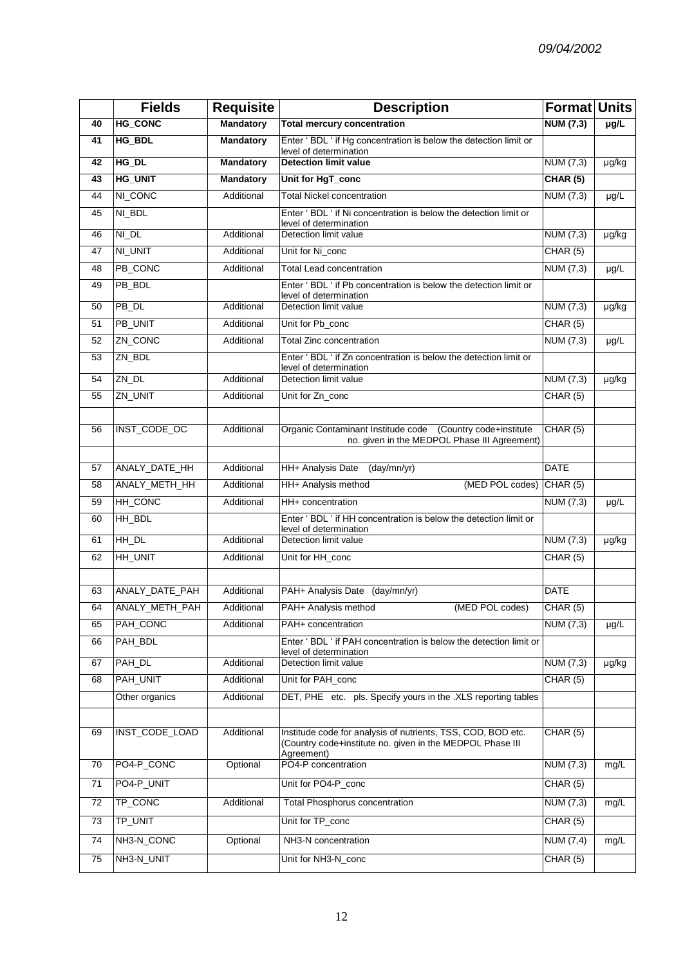|                 | <b>Fields</b>  | <b>Requisite</b> | <b>Description</b>                                                                                                                      | Format Units                 |                      |
|-----------------|----------------|------------------|-----------------------------------------------------------------------------------------------------------------------------------------|------------------------------|----------------------|
| 40              | <b>HG_CONC</b> | <b>Mandatory</b> | <b>Total mercury concentration</b>                                                                                                      | NUM(7,3)                     | $\overline{\mu g/L}$ |
| 41              | HG_BDL         | <b>Mandatory</b> | Enter ' BDL ' if Hg concentration is below the detection limit or                                                                       |                              |                      |
| 42              | HG_DL          | <b>Mandatory</b> | level of determination<br><b>Detection limit value</b>                                                                                  | <b>NUM (7,3)</b>             | µg/kg                |
| 43              | <b>HG_UNIT</b> | <b>Mandatory</b> | Unit for HgT_conc                                                                                                                       | <b>CHAR (5)</b>              |                      |
| 44              | NI_CONC        | Additional       | <b>Total Nickel concentration</b>                                                                                                       | NUM (7,3)                    | $\mu$ g/L            |
| 45              | NI_BDL         |                  | Enter ' BDL ' if Ni concentration is below the detection limit or<br>level of determination                                             |                              |                      |
| 46              | NI_DL          | Additional       | Detection limit value                                                                                                                   | NUM (7,3)                    | µg/kg                |
| 47              | NI_UNIT        | Additional       | Unit for Ni_conc                                                                                                                        | CHAR(5)                      |                      |
| 48              | PB_CONC        | Additional       | <b>Total Lead concentration</b>                                                                                                         | NUM $(7,3)$                  | µg/L                 |
| 49              | PB_BDL         |                  | Enter ' BDL ' if Pb concentration is below the detection limit or<br>level of determination                                             |                              |                      |
| 50              | PB_DL          | Additional       | Detection limit value                                                                                                                   | NUM (7,3)                    | µg/kg                |
| 51              | PB_UNIT        | Additional       | Unit for Pb_conc                                                                                                                        | CHAR(5)                      |                      |
| 52              | ZN_CONC        | Additional       | <b>Total Zinc concentration</b>                                                                                                         | NUM (7,3)                    | µg/L                 |
| 53              | ZN_BDL         |                  | Enter ' BDL ' if Zn concentration is below the detection limit or<br>level of determination                                             |                              |                      |
| 54              | ZN_DL          | Additional       | Detection limit value                                                                                                                   | NUM (7,3)                    | µg/kg                |
| 55              | ZN_UNIT        | Additional       | Unit for Zn_conc                                                                                                                        | CHAR (5)                     |                      |
|                 |                |                  |                                                                                                                                         |                              |                      |
| 56              | INST_CODE_OC   | Additional       | Organic Contaminant Institude code (Country code+institute<br>no. given in the MEDPOL Phase III Agreement)                              | CHAR (5)                     |                      |
|                 |                |                  |                                                                                                                                         |                              |                      |
| 57              | ANALY_DATE_HH  | Additional       | HH+ Analysis Date<br>(day/mn/yr)                                                                                                        | <b>DATE</b>                  |                      |
| 58              | ANALY_METH_HH  | Additional       | HH+ Analysis method<br>(MED POL codes)                                                                                                  | CHAR(5)                      |                      |
| 59              | HH_CONC        | Additional       | HH+ concentration<br>Enter ' BDL ' if HH concentration is below the detection limit or                                                  | NUM (7,3)                    | µg/L                 |
| 60              | HH_BDL         |                  | level of determination                                                                                                                  |                              |                      |
| 61              | HH_DL          | Additional       | Detection limit value                                                                                                                   | <b>NUM (7,3)</b>             | µg/kg                |
| 62              | <b>HH_UNIT</b> | Additional       | Unit for HH_conc                                                                                                                        | CHAR(5)                      |                      |
|                 |                |                  |                                                                                                                                         |                              |                      |
| 63              | ANALY_DATE_PAH | Additional       | PAH+ Analysis Date<br>(day/mn/yr)                                                                                                       | <b>DATE</b>                  |                      |
| 64              | ANALY METH PAH | Additional       | PAH+ Analysis method<br>(MED POL codes)                                                                                                 | CHAR(5)                      |                      |
| 65              | PAH_CONC       | Additional       | PAH+ concentration                                                                                                                      | $\overline{\text{NUM}(7,3)}$ | µg/L                 |
| 66              | PAH_BDL        |                  | Enter 'BDL ' if PAH concentration is below the detection limit or<br>level of determination                                             |                              |                      |
| 67              | PAH_DL         | Additional       | Detection limit value                                                                                                                   | NUM (7,3)                    | µg/kg                |
| 68              | PAH_UNIT       | Additional       | Unit for PAH_conc                                                                                                                       | CHAR(5)                      |                      |
|                 | Other organics | Additional       | DET, PHE etc. pls. Specify yours in the .XLS reporting tables                                                                           |                              |                      |
|                 |                |                  |                                                                                                                                         |                              |                      |
| 69              | INST_CODE_LOAD | Additional       | Institude code for analysis of nutrients, TSS, COD, BOD etc.<br>(Country code+institute no. given in the MEDPOL Phase III<br>Agreement) | CHAR (5)                     |                      |
| 70              | PO4-P_CONC     | Optional         | PO4-P concentration                                                                                                                     | NUM (7,3)                    | mg/L                 |
| $\overline{71}$ | PO4-P_UNIT     |                  | Unit for PO4-P_conc                                                                                                                     | CHAR(5)                      |                      |
| 72              | TP_CONC        | Additional       | <b>Total Phosphorus concentration</b>                                                                                                   | NUM (7,3)                    | mg/L                 |
| 73              | TP_UNIT        |                  | Unit for TP_conc                                                                                                                        | CHAR (5)                     |                      |
| 74              | NH3-N_CONC     | Optional         | NH3-N concentration                                                                                                                     | NUM $(7,4)$                  | mg/L                 |
| 75              | NH3-N_UNIT     |                  | Unit for NH3-N_conc                                                                                                                     | CHAR (5)                     |                      |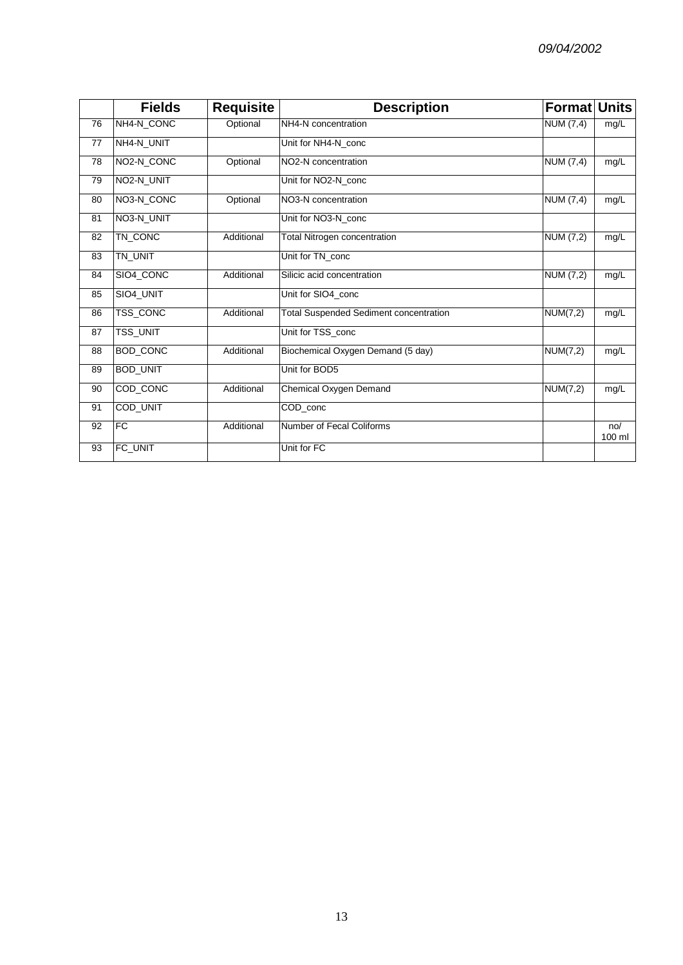|    | <b>Fields</b>           | <b>Requisite</b> | <b>Description</b>                            | <b>Format Units</b> |               |
|----|-------------------------|------------------|-----------------------------------------------|---------------------|---------------|
| 76 | NH4-N_CONC              | Optional         | NH4-N concentration                           | NUM (7,4)           | mg/L          |
| 77 | NH4-N_UNIT              |                  | Unit for NH4-N conc                           |                     |               |
| 78 | NO <sub>2</sub> -N_CONC | Optional         | NO2-N concentration                           | NUM $(7,4)$         | mg/L          |
| 79 | NO2-N_UNIT              |                  | Unit for NO2-N conc                           |                     |               |
| 80 | NO3-N_CONC              | Optional         | NO3-N concentration                           | <b>NUM (7,4)</b>    | mg/L          |
| 81 | NO3-N_UNIT              |                  | Unit for NO3-N_conc                           |                     |               |
| 82 | TN_CONC                 | Additional       | <b>Total Nitrogen concentration</b>           | NUM (7,2)           | mg/L          |
| 83 | TN_UNIT                 |                  | Unit for TN_conc                              |                     |               |
| 84 | SIO4_CONC               | Additional       | Silicic acid concentration                    | NUM (7,2)           | mg/L          |
| 85 | SIO4_UNIT               |                  | Unit for SIO4_conc                            |                     |               |
| 86 | TSS_CONC                | Additional       | <b>Total Suspended Sediment concentration</b> | NUM(7,2)            | mg/L          |
| 87 | <b>TSS_UNIT</b>         |                  | Unit for TSS_conc                             |                     |               |
| 88 | BOD_CONC                | Additional       | Biochemical Oxygen Demand (5 day)             | NUM(7,2)            | mg/L          |
| 89 | <b>BOD_UNIT</b>         |                  | Unit for BOD5                                 |                     |               |
| 90 | COD_CONC                | Additional       | Chemical Oxygen Demand                        | <b>NUM(7,2)</b>     | mg/L          |
| 91 | COD_UNIT                |                  | COD conc                                      |                     |               |
| 92 | <b>FC</b>               | Additional       | Number of Fecal Coliforms                     |                     | no/<br>100 ml |
| 93 | FC_UNIT                 |                  | Unit for FC                                   |                     |               |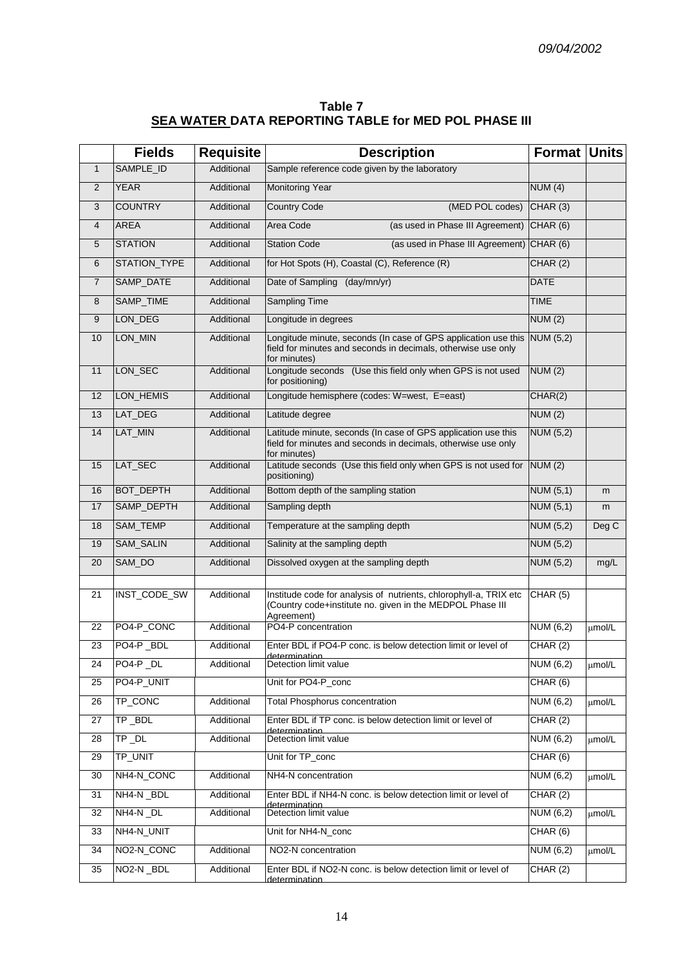| Table 7                                              |  |
|------------------------------------------------------|--|
| SEA WATER DATA REPORTING TABLE for MED POL PHASE III |  |

|                | <b>Fields</b>    | <b>Requisite</b> | <b>Description</b>                                                                                                                                        | Format Units     |             |
|----------------|------------------|------------------|-----------------------------------------------------------------------------------------------------------------------------------------------------------|------------------|-------------|
| $\mathbf{1}$   | SAMPLE_ID        | Additional       | Sample reference code given by the laboratory                                                                                                             |                  |             |
| 2              | <b>YEAR</b>      | Additional       | <b>Monitoring Year</b>                                                                                                                                    | NUM(4)           |             |
| 3              | <b>COUNTRY</b>   | Additional       | <b>Country Code</b><br>(MED POL codes)                                                                                                                    | CHAR(3)          |             |
| 4              | <b>AREA</b>      | Additional       | (as used in Phase III Agreement) CHAR (6)<br>Area Code                                                                                                    |                  |             |
| 5              | <b>STATION</b>   | Additional       | (as used in Phase III Agreement) CHAR (6)<br><b>Station Code</b>                                                                                          |                  |             |
| 6              | STATION_TYPE     | Additional       | for Hot Spots (H), Coastal (C), Reference (R)                                                                                                             | CHAR(2)          |             |
| $\overline{7}$ | SAMP_DATE        | Additional       | Date of Sampling (day/mn/yr)                                                                                                                              | <b>DATE</b>      |             |
| 8              | SAMP_TIME        | Additional       | <b>Sampling Time</b>                                                                                                                                      | <b>TIME</b>      |             |
| 9              | LON_DEG          | Additional       | Longitude in degrees                                                                                                                                      | NUM(2)           |             |
| 10             | LON_MIN          | Additional       | Longitude minute, seconds (In case of GPS application use this NUM (5,2)<br>field for minutes and seconds in decimals, otherwise use only<br>for minutes) |                  |             |
| 11             | LON_SEC          | Additional       | Longitude seconds (Use this field only when GPS is not used<br>for positioning)                                                                           | NUM(2)           |             |
| 12             | LON_HEMIS        | Additional       | Longitude hemisphere (codes: W=west, E=east)                                                                                                              | CHAR(2)          |             |
| 13             | LAT_DEG          | Additional       | Latitude degree                                                                                                                                           | NUM(2)           |             |
| 14             | LAT_MIN          | Additional       | Latitude minute, seconds (In case of GPS application use this<br>field for minutes and seconds in decimals, otherwise use only<br>for minutes)            | <b>NUM (5,2)</b> |             |
| 15             | LAT_SEC          | Additional       | Latitude seconds (Use this field only when GPS is not used for<br>positioning)                                                                            | NUM(2)           |             |
| 16             | <b>BOT_DEPTH</b> | Additional       | Bottom depth of the sampling station                                                                                                                      | NUM(5,1)         | m           |
| 17             | SAMP_DEPTH       | Additional       | Sampling depth                                                                                                                                            | NUM (5,1)        | m           |
| 18             | SAM_TEMP         | Additional       | Temperature at the sampling depth                                                                                                                         | NUM (5,2)        | Deg C       |
| 19             | SAM_SALIN        | Additional       | Salinity at the sampling depth                                                                                                                            | <b>NUM (5,2)</b> |             |
| 20             | SAM_DO           | Additional       | Dissolved oxygen at the sampling depth                                                                                                                    | <b>NUM (5,2)</b> | mg/L        |
| 21             | INST_CODE_SW     | Additional       | Institude code for analysis of nutrients, chlorophyll-a, TRIX etc<br>(Country code+institute no. given in the MEDPOL Phase III<br>Agreement)              | CHAR (5)         |             |
| 22             | PO4-P_CONC       | Additional       | PO4-P concentration                                                                                                                                       | NUM (6,2)        | umol/L      |
| 23             | PO4-P_BDL        | Additional       | Enter BDL if PO4-P conc. is below detection limit or level of                                                                                             | CHAR (2)         |             |
| 24             | PO4-P_DL         | Additional       | <u>determination.</u><br>Detection limit value                                                                                                            | NUM(6,2)         | µmol/L      |
| 25             | PO4-P_UNIT       |                  | Unit for PO4-P_conc                                                                                                                                       | CHAR (6)         |             |
| 26             | TP_CONC          | Additional       | <b>Total Phosphorus concentration</b>                                                                                                                     | NUM (6,2)        | umol/L      |
| 27             | TP_BDL           | Additional       | Enter BDL if TP conc. is below detection limit or level of                                                                                                | CHAR(2)          |             |
| 28             | $TP\_DL$         | Additional       | determination<br>Detection limit value                                                                                                                    | NUM (6,2)        | µmol/L      |
| 29             | TP_UNIT          |                  | Unit for TP_conc                                                                                                                                          | CHAR (6)         |             |
| 30             | NH4-N_CONC       | Additional       | NH4-N concentration                                                                                                                                       | NUM (6,2)        | µmol/L      |
| 31             | NH4-N_BDL        | Additional       | Enter BDL if NH4-N conc. is below detection limit or level of                                                                                             | CHAR (2)         |             |
| 32             | NH4-N_DL         | Additional       | determination<br>Detection limit value                                                                                                                    | <b>NUM (6,2)</b> | µmol/L      |
| 33             | NH4-N_UNIT       |                  | Unit for NH4-N_conc                                                                                                                                       | CHAR (6)         |             |
| 34             | NO2-N_CONC       | Additional       | NO2-N concentration                                                                                                                                       | NUM (6,2)        | $\mu$ mol/L |
| 35             | NO2-N_BDL        | Additional       | Enter BDL if NO2-N conc. is below detection limit or level of<br>determination                                                                            | CHAR (2)         |             |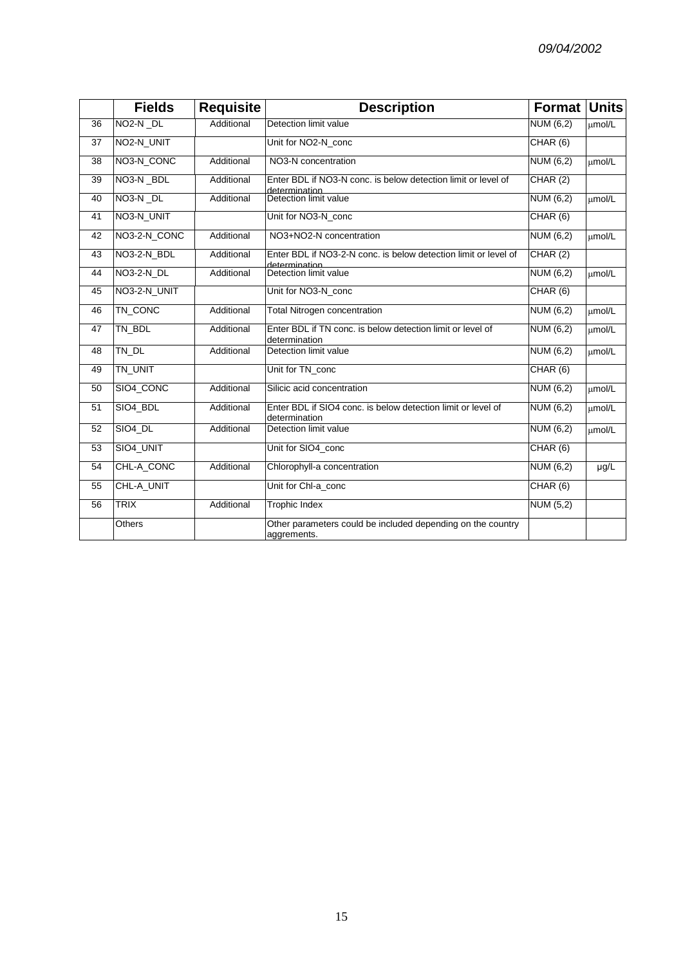|                 | <b>Fields</b>         | <b>Requisite</b> | <b>Description</b>                                                               | <b>Format Units</b> |        |
|-----------------|-----------------------|------------------|----------------------------------------------------------------------------------|---------------------|--------|
| 36              | NO <sub>2</sub> -N DL | Additional       | Detection limit value                                                            | NUM (6,2)           | umol/L |
| 37              | NO2-N_UNIT            |                  | Unit for NO2-N_conc                                                              | CHAR (6)            |        |
| 38              | NO3-N_CONC            | Additional       | NO3-N concentration                                                              | NUM $(6,2)$         | umol/L |
| 39              | NO3-N_BDL             | Additional       | Enter BDL if NO3-N conc. is below detection limit or level of<br>determination   | CHAR (2)            |        |
| 40              | NO <sub>3</sub> -N DL | Additional       | Detection limit value                                                            | NUM $(6,2)$         | umol/L |
| 41              | NO3-N_UNIT            |                  | Unit for NO3-N conc                                                              | CHAR (6)            |        |
| 42              | NO3-2-N_CONC          | Additional       | NO3+NO2-N concentration                                                          | NUM $(6,2)$         | umol/L |
| $\overline{43}$ | NO3-2-N_BDL           | Additional       | Enter BDL if NO3-2-N conc. is below detection limit or level of<br>determination | CHAR(2)             |        |
| 44              | <b>NO3-2-N_DL</b>     | Additional       | Detection limit value                                                            | NUM $(6,2)$         | umol/L |
| 45              | NO3-2-N_UNIT          |                  | Unit for NO3-N_conc                                                              | CHAR(6)             |        |
| 46              | TN_CONC               | Additional       | <b>Total Nitrogen concentration</b>                                              | NUM(6,2)            | umol/L |
| 47              | TN_BDL                | Additional       | Enter BDL if TN conc. is below detection limit or level of<br>determination      | NUM $(6,2)$         | umol/L |
| 48              | TN_DL                 | Additional       | Detection limit value                                                            | NUM (6,2)           | umol/L |
| 49              | TN_UNIT               |                  | Unit for TN_conc                                                                 | CHAR(6)             |        |
| 50              | SIO4_CONC             | Additional       | Silicic acid concentration                                                       | NUM $(6,2)$         | umol/L |
| 51              | SIO4_BDL              | Additional       | Enter BDL if SIO4 conc. is below detection limit or level of<br>determination    | NUM $(6,2)$         | µmol/L |
| 52              | SIO4_DL               | Additional       | Detection limit value                                                            | NUM (6,2)           | umol/L |
| 53              | SIO4_UNIT             |                  | Unit for SIO4 conc                                                               | CHAR(6)             |        |
| 54              | CHL-A_CONC            | Additional       | Chlorophyll-a concentration                                                      | NUM $(6,2)$         | µg/L   |
| 55              | CHL-A_UNIT            |                  | Unit for Chl-a_conc                                                              | CHAR(6)             |        |
| 56              | <b>TRIX</b>           | Additional       | <b>Trophic Index</b>                                                             | NUM $(5,2)$         |        |
|                 | Others                |                  | Other parameters could be included depending on the country<br>aggrements.       |                     |        |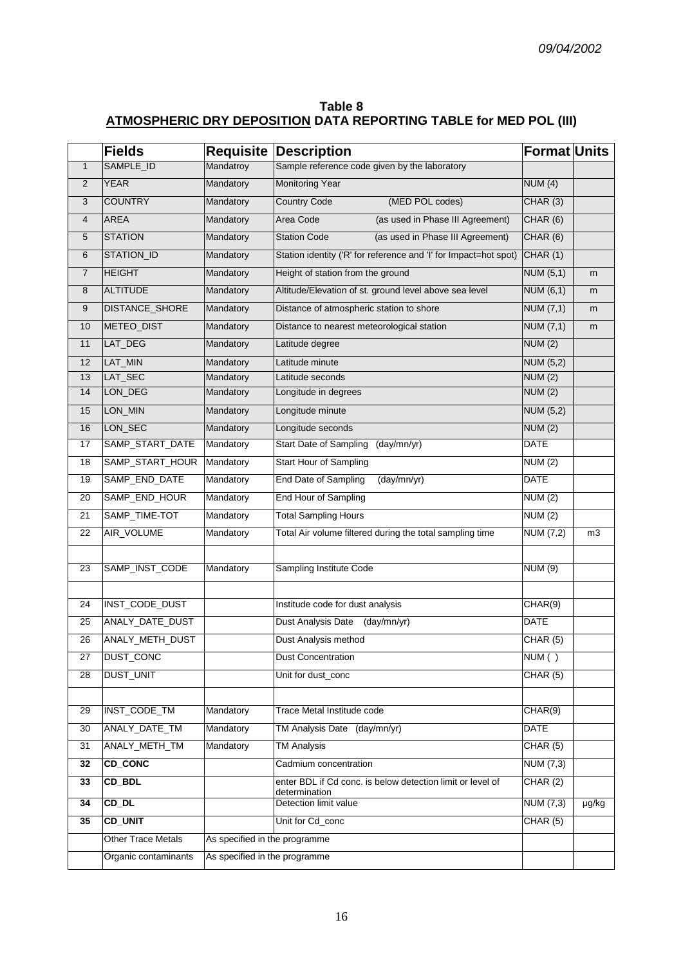| Table 8                                                                  |  |
|--------------------------------------------------------------------------|--|
| <b>ATMOSPHERIC DRY DEPOSITION DATA REPORTING TABLE for MED POL (III)</b> |  |

|                | <b>Fields</b>             | <b>Requisite</b>              | <b>Description</b>                                                          | <b>Format Units</b> |                |
|----------------|---------------------------|-------------------------------|-----------------------------------------------------------------------------|---------------------|----------------|
| $\mathbf{1}$   | SAMPLE_ID                 | Mandatroy                     | Sample reference code given by the laboratory                               |                     |                |
| $\overline{2}$ | <b>YEAR</b>               | Mandatory                     | <b>Monitoring Year</b>                                                      | NUM(4)              |                |
| 3              | <b>COUNTRY</b>            | Mandatory                     | <b>Country Code</b><br>(MED POL codes)                                      | CHAR (3)            |                |
| 4              | <b>AREA</b>               | Mandatory                     | Area Code<br>(as used in Phase III Agreement)                               | CHAR(6)             |                |
| 5              | <b>STATION</b>            | Mandatory                     | (as used in Phase III Agreement)<br><b>Station Code</b>                     | CHAR (6)            |                |
| 6              | STATION_ID                | Mandatory                     | Station identity ('R' for reference and 'I' for Impact=hot spot)            | CHAR(1)             |                |
| 7              | <b>HEIGHT</b>             | Mandatory                     | Height of station from the ground                                           | NUM $(5,1)$         | m              |
| 8              | <b>ALTITUDE</b>           | Mandatory                     | Altitude/Elevation of st. ground level above sea level                      | <b>NUM (6,1)</b>    | m              |
| 9              | <b>DISTANCE_SHORE</b>     | Mandatory                     | Distance of atmospheric station to shore                                    | NUM (7,1)           | m              |
| 10             | METEO_DIST                | Mandatory                     | Distance to nearest meteorological station                                  | NUM (7,1)           | m              |
| 11             | LAT_DEG                   | Mandatory                     | Latitude degree                                                             | NUM(2)              |                |
| 12             | LAT_MIN                   | Mandatory                     | Latitude minute                                                             | <b>NUM (5,2)</b>    |                |
| 13             | LAT_SEC                   | Mandatory                     | Latitude seconds                                                            | NUM(2)              |                |
| 14             | LON_DEG                   | Mandatory                     | Longitude in degrees                                                        | <b>NUM (2)</b>      |                |
| 15             | LON_MIN                   | Mandatory                     | Longitude minute                                                            | NUM (5,2)           |                |
| 16             | LON_SEC                   | Mandatory                     | Longitude seconds                                                           | NUM (2)             |                |
| 17             | SAMP_START_DATE           | Mandatory                     | (day/mn/yr)<br><b>Start Date of Sampling</b>                                | <b>DATE</b>         |                |
| 18             | SAMP_START_HOUR           | Mandatory                     | Start Hour of Sampling                                                      | NUM (2)             |                |
| 19             | SAMP_END_DATE             | Mandatory                     | End Date of Sampling<br>(day/mn/yr)                                         | <b>DATE</b>         |                |
| 20             | SAMP_END_HOUR             | Mandatory                     | End Hour of Sampling                                                        | <b>NUM (2)</b>      |                |
| 21             | SAMP_TIME-TOT             | Mandatory                     | <b>Total Sampling Hours</b>                                                 | NUM(2)              |                |
| 22             | AIR_VOLUME                | Mandatory                     | Total Air volume filtered during the total sampling time                    | <b>NUM (7,2)</b>    | m <sub>3</sub> |
|                |                           |                               |                                                                             |                     |                |
| 23             | SAMP_INST_CODE            | Mandatory                     | Sampling Institute Code                                                     | <b>NUM (9)</b>      |                |
|                |                           |                               |                                                                             |                     |                |
| 24             | INST_CODE_DUST            |                               | Institude code for dust analysis                                            | CHAR(9)             |                |
| 25             | ANALY_DATE_DUST           |                               | Dust Analysis Date<br>(day/mn/yr)                                           | <b>DATE</b>         |                |
| 26             | ANALY_METH_DUST           |                               | Dust Analysis method                                                        | CHAR(5)             |                |
| 27             | DUST_CONC                 |                               | <b>Dust Concentration</b>                                                   | NUM()               |                |
| 28             | <b>DUST_UNIT</b>          |                               | Unit for dust_conc                                                          | CHAR (5)            |                |
|                |                           |                               |                                                                             |                     |                |
| 29             | <b>INST_CODE_TM</b>       | Mandatory                     | Trace Metal Institude code                                                  | CHAR(9)             |                |
| 30             | ANALY_DATE_TM             | Mandatory                     | TM Analysis Date (day/mn/yr)                                                | <b>DATE</b>         |                |
| 31             | ANALY_METH_TM             | Mandatory                     | <b>TM Analysis</b>                                                          | CHAR(5)             |                |
| 32             | <b>CD_CONC</b>            |                               | Cadmium concentration                                                       | <b>NUM (7,3)</b>    |                |
| 33             | CD_BDL                    |                               | enter BDL if Cd conc. is below detection limit or level of<br>determination | CHAR (2)            |                |
| 34             | CD_DL                     |                               | Detection limit value                                                       | NUM (7,3)           | µg/kg          |
| 35             | <b>CD_UNIT</b>            |                               | Unit for Cd_conc                                                            | CHAR (5)            |                |
|                | <b>Other Trace Metals</b> | As specified in the programme |                                                                             |                     |                |
|                | Organic contaminants      | As specified in the programme |                                                                             |                     |                |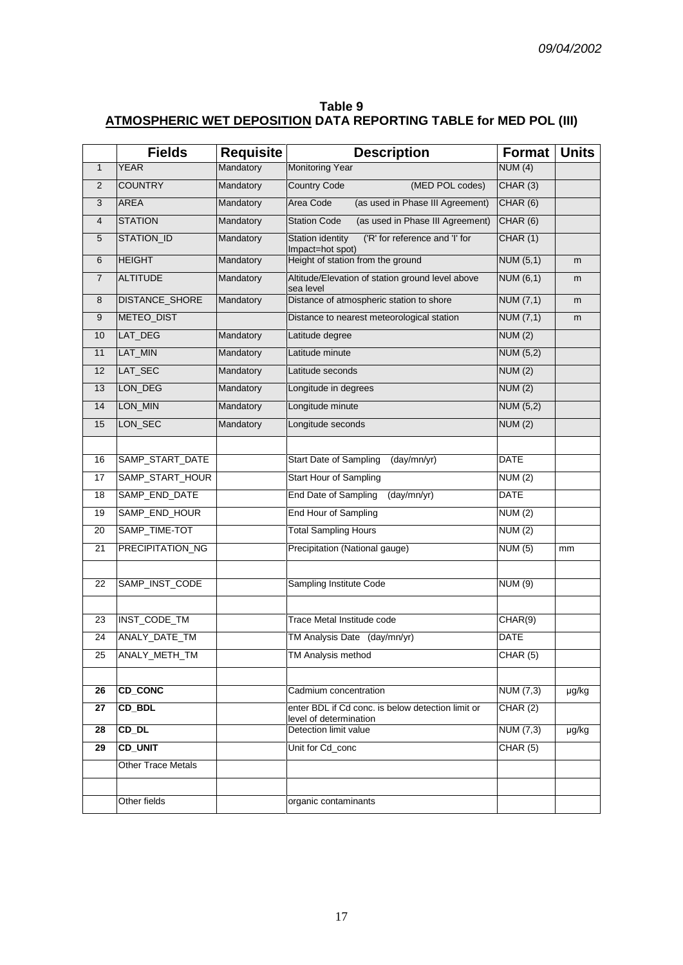| Table 9                                                           |  |
|-------------------------------------------------------------------|--|
| ATMOSPHERIC WET DEPOSITION DATA REPORTING TABLE for MED POL (III) |  |

|                 | <b>Fields</b>         | <b>Requisite</b> | <b>Description</b>                                                          | <b>Format</b>    | <b>Units</b> |
|-----------------|-----------------------|------------------|-----------------------------------------------------------------------------|------------------|--------------|
| $\mathbf{1}$    | <b>YEAR</b>           | Mandatory        | <b>Monitoring Year</b>                                                      | NUM(4)           |              |
| $\overline{2}$  | <b>COUNTRY</b>        | Mandatory        | <b>Country Code</b><br>(MED POL codes)                                      | CHAR(3)          |              |
| 3               | <b>AREA</b>           | Mandatory        | (as used in Phase III Agreement)<br>Area Code                               | CHAR(6)          |              |
| $\overline{4}$  | <b>STATION</b>        | Mandatory        | (as used in Phase III Agreement)<br><b>Station Code</b>                     | CHAR(6)          |              |
| 5               | STATION_ID            | Mandatory        | Station identity<br>('R' for reference and 'I' for<br>Impact=hot spot)      | CHAR (1)         |              |
| $6\phantom{1}$  | <b>HEIGHT</b>         | Mandatory        | Height of station from the ground                                           | NUM(5,1)         | m            |
| $\overline{7}$  | <b>ALTITUDE</b>       | Mandatory        | Altitude/Elevation of station ground level above<br>sea level               | NUM(6,1)         | m            |
| 8               | <b>DISTANCE_SHORE</b> | Mandatory        | Distance of atmospheric station to shore                                    | NUM $(7,1)$      | m            |
| 9               | METEO_DIST            |                  | Distance to nearest meteorological station                                  | NUM $(7,1)$      | m            |
| 10              | LAT_DEG               | Mandatory        | Latitude degree                                                             | NUM (2)          |              |
| 11              | LAT_MIN               | Mandatory        | Latitude minute                                                             | <b>NUM (5,2)</b> |              |
| 12              | LAT_SEC               | Mandatory        | Latitude seconds                                                            | NUM(2)           |              |
| 13              | LON_DEG               | Mandatory        | Longitude in degrees                                                        | NUM(2)           |              |
| 14              | LON_MIN               | Mandatory        | Longitude minute                                                            | <b>NUM (5,2)</b> |              |
| 15              | LON_SEC               | Mandatory        | Longitude seconds                                                           | NUM(2)           |              |
|                 |                       |                  |                                                                             |                  |              |
| 16              | SAMP_START_DATE       |                  | Start Date of Sampling<br>(day/mn/yr)                                       | <b>DATE</b>      |              |
| 17              | SAMP_START_HOUR       |                  | Start Hour of Sampling                                                      | NUM(2)           |              |
| 18              | SAMP_END_DATE         |                  | End Date of Sampling<br>(day/mn/yr)                                         | <b>DATE</b>      |              |
| 19              | SAMP_END_HOUR         |                  | End Hour of Sampling                                                        | NUM(2)           |              |
| 20              | SAMP_TIME-TOT         |                  | <b>Total Sampling Hours</b>                                                 | NUM(2)           |              |
| 21              | PRECIPITATION_NG      |                  | Precipitation (National gauge)                                              | NUM(5)           | mm           |
|                 |                       |                  |                                                                             |                  |              |
| 22              | SAMP_INST_CODE        |                  | Sampling Institute Code                                                     | <b>NUM (9)</b>   |              |
|                 |                       |                  |                                                                             |                  |              |
| 23              | INST_CODE_TM          |                  | Trace Metal Institude code                                                  | CHAR(9)          |              |
| 24              | ANALY_DATE_TM         |                  | TM Analysis Date (day/mn/yr)                                                | <b>DATE</b>      |              |
| 25              | ANALY_METH_TM         |                  | TM Analysis method                                                          | CHAR (5)         |              |
|                 |                       |                  |                                                                             |                  |              |
| $\overline{26}$ | <b>CD_CONC</b>        |                  | Cadmium concentration                                                       | <b>NUM (7,3)</b> | µg/kg        |
| 27              | CD_BDL                |                  | enter BDL if Cd conc. is below detection limit or<br>level of determination | CHAR(2)          |              |
| 28              | CD DL                 |                  | Detection limit value                                                       | NUM $(7,3)$      | µg/kg        |
| 29              | <b>CD_UNIT</b>        |                  | Unit for Cd_conc                                                            | CHAR (5)         |              |
|                 | Other Trace Metals    |                  |                                                                             |                  |              |
|                 |                       |                  |                                                                             |                  |              |
|                 | Other fields          |                  | organic contaminants                                                        |                  |              |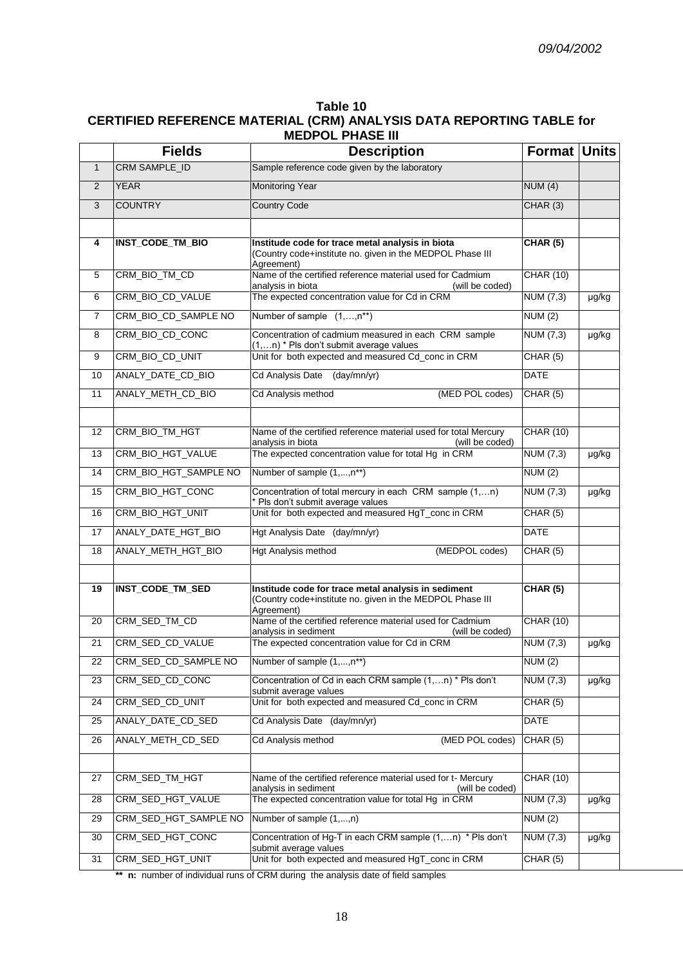#### **Table 10 CERTIFIED REFERENCE MATERIAL (CRM) ANALYSIS DATA REPORTING TABLE for MEDPOL PHASE III**

|                | <b>Fields</b>           | <b>Description</b>                                                                                                             | <b>Format Units</b> |       |
|----------------|-------------------------|--------------------------------------------------------------------------------------------------------------------------------|---------------------|-------|
| $\mathbf{1}$   | CRM SAMPLE_ID           | Sample reference code given by the laboratory                                                                                  |                     |       |
| $\overline{2}$ | <b>YEAR</b>             | <b>Monitoring Year</b>                                                                                                         | NUM(4)              |       |
| 3              | <b>COUNTRY</b>          | <b>Country Code</b>                                                                                                            | CHAR (3)            |       |
|                |                         |                                                                                                                                |                     |       |
| 4              | INST_CODE_TM_BIO        | Institude code for trace metal analysis in biota<br>(Country code+institute no. given in the MEDPOL Phase III<br>Agreement)    | CHAR(5)             |       |
| 5              | CRM_BIO_TM_CD           | Name of the certified reference material used for Cadmium<br>analysis in biota<br>(will be coded)                              | <b>CHAR (10)</b>    |       |
| 6              | CRM_BIO_CD_VALUE        | The expected concentration value for Cd in CRM                                                                                 | NUM (7,3)           | µg/kg |
| $\overline{7}$ | CRM_BIO_CD_SAMPLE NO    | Number of sample (1,,n**)                                                                                                      | NUM(2)              |       |
| 8              | CRM_BIO_CD_CONC         | Concentration of cadmium measured in each CRM sample<br>(1,n) * Pls don't submit average values                                | <b>NUM (7,3)</b>    | µg/kg |
| 9              | CRM_BIO_CD_UNIT         | Unit for both expected and measured Cd_conc in CRM                                                                             | CHAR(5)             |       |
| 10             | ANALY_DATE_CD_BIO       | (day/mn/yr)<br><b>Cd Analysis Date</b>                                                                                         | <b>DATE</b>         |       |
| 11             | ANALY METH CD BIO       | (MED POL codes)<br>Cd Analysis method                                                                                          | CHAR(5)             |       |
|                |                         |                                                                                                                                |                     |       |
| 12             | CRM_BIO_TM_HGT          | Name of the certified reference material used for total Mercury<br>analysis in biota<br>(will be coded)                        | <b>CHAR (10)</b>    |       |
| 13             | CRM_BIO_HGT_VALUE       | The expected concentration value for total Hg in CRM                                                                           | NUM (7,3)           | µg/kg |
| 14             | CRM_BIO_HGT_SAMPLE NO   | Number of sample (1,,n**)                                                                                                      | NUM(2)              |       |
| 15             | CRM_BIO_HGT_CONC        | Concentration of total mercury in each CRM sample (1,n)<br>* Pls don't submit average values                                   | NUM (7,3)           | µg/kg |
| 16             | CRM_BIO_HGT_UNIT        | Unit for both expected and measured HgT_conc in CRM                                                                            | CHAR(5)             |       |
| 17             | ANALY_DATE_HGT_BIO      | Hgt Analysis Date (day/mn/yr)                                                                                                  | <b>DATE</b>         |       |
| 18             | ANALY_METH_HGT_BIO      | (MEDPOL codes)<br>Hgt Analysis method                                                                                          | CHAR (5)            |       |
|                |                         |                                                                                                                                |                     |       |
| 19             | <b>INST_CODE_TM_SED</b> | Institude code for trace metal analysis in sediment<br>(Country code+institute no. given in the MEDPOL Phase III<br>Agreement) | CHAR(5)             |       |
| 20             | CRM_SED_TM_CD           | Name of the certified reference material used for Cadmium<br>analysis in sediment<br>(will be coded)                           | <b>CHAR (10)</b>    |       |
| 21             | CRM SED CD VALUE        | The expected concentration value for Cd in CRM                                                                                 | <b>NUM (7,3)</b>    | µg/kg |
| 22             | CRM_SED_CD_SAMPLE NO    | Number of sample (1,,n**)                                                                                                      | <b>NUM (2)</b>      |       |
| 23             | CRM_SED_CD_CONC         | Concentration of Cd in each CRM sample (1,n) * Pls don't                                                                       | NUM (7,3)           | µg/kg |
| 24             | CRM_SED_CD_UNIT         | submit average values<br>Unit for both expected and measured Cd_conc in CRM                                                    | CHAR (5)            |       |
| 25             | ANALY_DATE_CD_SED       | Cd Analysis Date (day/mn/yr)                                                                                                   | <b>DATE</b>         |       |
| 26             | ANALY_METH_CD_SED       | (MED POL codes)<br>Cd Analysis method                                                                                          | CHAR (5)            |       |
|                |                         |                                                                                                                                |                     |       |
| 27             | CRM_SED_TM_HGT          | Name of the certified reference material used for t- Mercury<br>(will be coded)<br>analysis in sediment                        | <b>CHAR (10)</b>    |       |
| 28             | CRM_SED_HGT_VALUE       | The expected concentration value for total Hg in CRM                                                                           | NUM (7,3)           | µg/kg |
| 29             | CRM_SED_HGT_SAMPLE NO   | Number of sample (1,,n)                                                                                                        | NUM(2)              |       |
| 30             | CRM_SED_HGT_CONC        | Concentration of Hg-T in each CRM sample (1,n) * Pls don't<br>submit average values                                            | NUM (7,3)           | µg/kg |
| 31             | CRM_SED_HGT_UNIT        | Unit for both expected and measured HgT_conc in CRM                                                                            | CHAR (5)            |       |

**\*\* n:** number of individual runs of CRM during the analysis date of field samples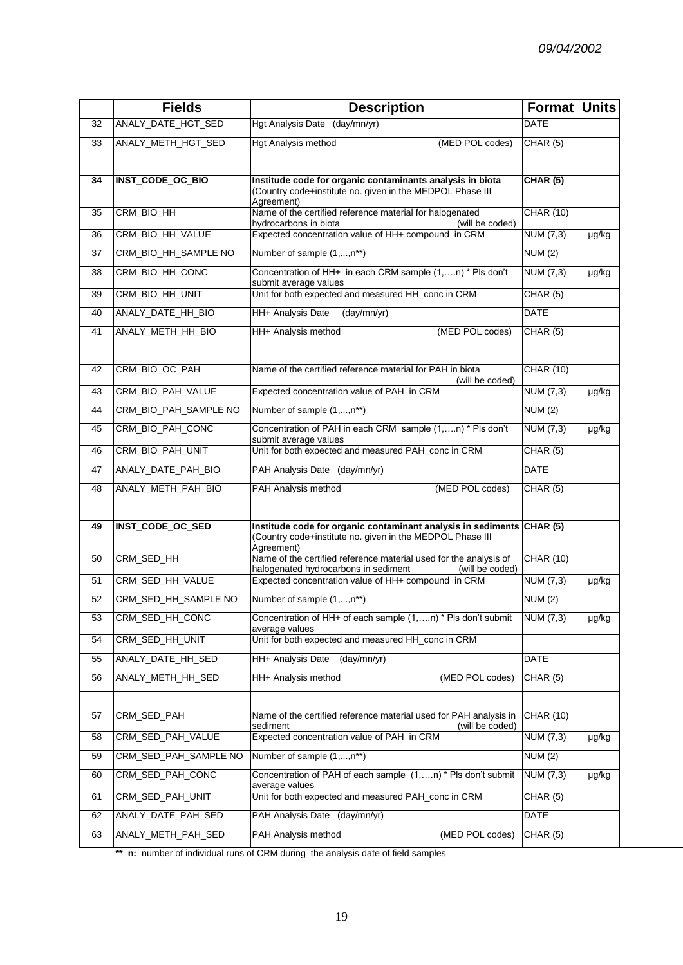|    | <b>Fields</b>           | <b>Description</b>                                                                                                                               | Format Units     |       |
|----|-------------------------|--------------------------------------------------------------------------------------------------------------------------------------------------|------------------|-------|
| 32 | ANALY_DATE_HGT_SED      | Hgt Analysis Date (day/mn/yr)                                                                                                                    | <b>DATE</b>      |       |
| 33 | ANALY_METH_HGT_SED      | (MED POL codes)<br>Hgt Analysis method                                                                                                           | CHAR (5)         |       |
|    |                         |                                                                                                                                                  |                  |       |
| 34 | INST_CODE_OC_BIO        | Institude code for organic contaminants analysis in biota<br>(Country code+institute no. given in the MEDPOL Phase III                           | CHAR(5)          |       |
| 35 | CRM_BIO_HH              | Agreement)<br>Name of the certified reference material for halogenated<br>hydrocarbons in biota<br>(will be coded)                               | <b>CHAR (10)</b> |       |
| 36 | CRM_BIO_HH_VALUE        | Expected concentration value of HH+ compound in CRM                                                                                              | NUM (7,3)        | µg/kg |
| 37 | CRM_BIO_HH_SAMPLE_NO    | Number of sample (1,,n**)<br>NUM(2)                                                                                                              |                  |       |
| 38 | CRM_BIO_HH_CONC         | Concentration of HH+ in each CRM sample (1,n) * Pls don't<br>submit average values                                                               | NUM (7,3)        | µg/kg |
| 39 | CRM_BIO_HH_UNIT         | Unit for both expected and measured HH_conc in CRM                                                                                               | CHAR(5)          |       |
| 40 | ANALY_DATE_HH_BIO       | HH+ Analysis Date<br>(day/mm/yr)                                                                                                                 | <b>DATE</b>      |       |
| 41 | ANALY METH HH BIO       | (MED POL codes)<br>HH+ Analysis method                                                                                                           | CHAR(5)          |       |
|    |                         |                                                                                                                                                  |                  |       |
| 42 | CRM_BIO_OC_PAH          | Name of the certified reference material for PAH in biota<br>(will be coded)                                                                     | <b>CHAR (10)</b> |       |
| 43 | CRM_BIO_PAH_VALUE       | Expected concentration value of PAH in CRM                                                                                                       | NUM (7,3)        | µg/kg |
| 44 | CRM_BIO_PAH_SAMPLE NO   | Number of sample (1,,n**)                                                                                                                        | NUM(2)           |       |
| 45 | CRM_BIO_PAH_CONC        | Concentration of PAH in each CRM sample (1,,n) * Pls don't<br>submit average values                                                              | NUM (7,3)        | µg/kg |
| 46 | CRM_BIO_PAH_UNIT        | Unit for both expected and measured PAH_conc in CRM                                                                                              | CHAR(5)          |       |
| 47 | ANALY_DATE_PAH_BIO      | PAH Analysis Date (day/mn/yr)                                                                                                                    | <b>DATE</b>      |       |
| 48 | ANALY_METH_PAH_BIO      | PAH Analysis method<br>(MED POL codes)                                                                                                           | CHAR(5)          |       |
|    |                         |                                                                                                                                                  |                  |       |
| 49 | <b>INST_CODE_OC_SED</b> | Institude code for organic contaminant analysis in sediments CHAR (5)<br>(Country code+institute no. given in the MEDPOL Phase III<br>Agreement) |                  |       |
| 50 | CRM_SED_HH              | Name of the certified reference material used for the analysis of<br>halogenated hydrocarbons in sediment<br>(will be coded)                     | <b>CHAR (10)</b> |       |
| 51 | CRM_SED_HH_VALUE        | Expected concentration value of HH+ compound in CRM                                                                                              | <b>NUM (7,3)</b> | µg/kg |
| 52 | CRM_SED_HH_SAMPLE NO    | Number of sample (1,,n**)                                                                                                                        | NUM(2)           |       |
| 53 | CRM_SED_HH_CONC         | Concentration of HH+ of each sample (1,n) * Pls don't submit<br>average values                                                                   | NUM (7,3)        | µg/kg |
| 54 | CRM_SED_HH_UNIT         | Unit for both expected and measured HH_conc in CRM                                                                                               |                  |       |
| 55 | ANALY_DATE_HH_SED       | HH+ Analysis Date<br>(day/mm/yr)                                                                                                                 | <b>DATE</b>      |       |
| 56 | ANALY_METH_HH_SED       | HH+ Analysis method<br>(MED POL codes)                                                                                                           | CHAR(5)          |       |
|    |                         |                                                                                                                                                  |                  |       |
| 57 | CRM_SED_PAH             | Name of the certified reference material used for PAH analysis in<br>sediment<br>(will be coded)                                                 | <b>CHAR (10)</b> |       |
| 58 | CRM_SED_PAH_VALUE       | Expected concentration value of PAH in CRM                                                                                                       | NUM (7,3)        | µg/kg |
| 59 | CRM_SED_PAH_SAMPLE NO   | Number of sample (1,,n**)                                                                                                                        | <b>NUM (2)</b>   |       |
| 60 | CRM_SED_PAH_CONC        | Concentration of PAH of each sample (1,n) * Pls don't submit<br>average values                                                                   | NUM (7,3)        | µg/kg |
| 61 | CRM_SED_PAH_UNIT        | Unit for both expected and measured PAH_conc in CRM                                                                                              | CHAR (5)         |       |
| 62 | ANALY_DATE_PAH_SED      | PAH Analysis Date (day/mn/yr)                                                                                                                    | DATE             |       |
| 63 | ANALY_METH_PAH_SED      | (MED POL codes)<br>PAH Analysis method                                                                                                           | <b>CHAR (5)</b>  |       |

\*\* **n:** number of individual runs of CRM during the analysis date of field samples